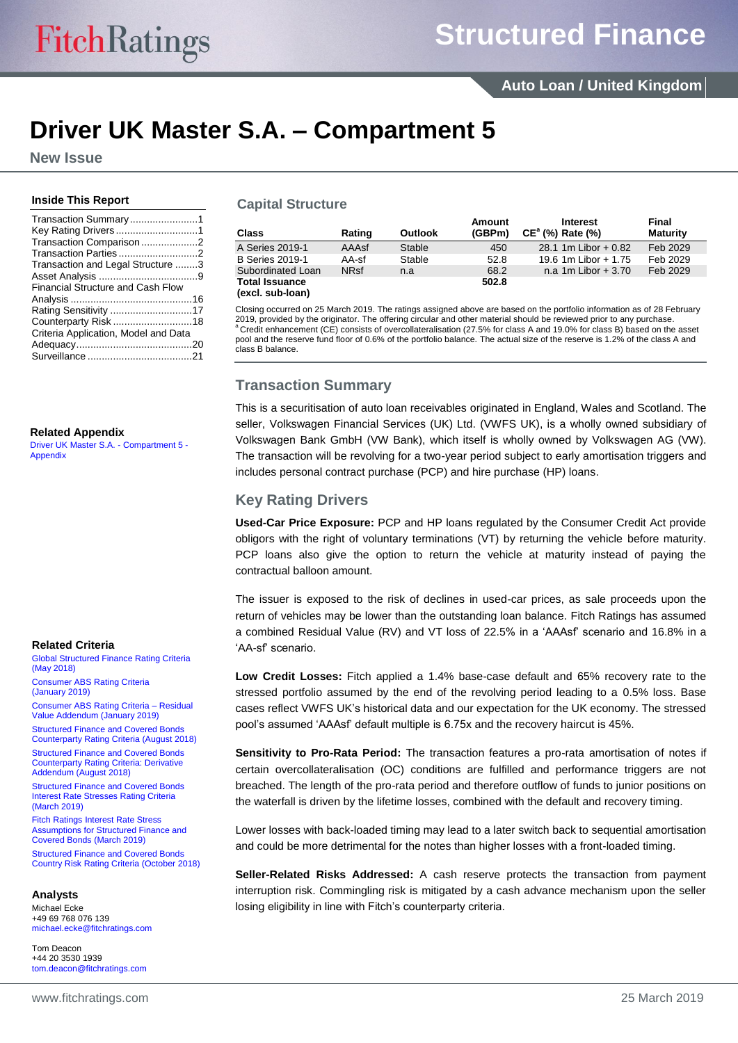## **Driver UK Master S.A. – Compartment 5**

**New Issue**

#### **Inside This Report**

| Transaction Summary1                     |  |
|------------------------------------------|--|
|                                          |  |
| Transaction Comparison2                  |  |
|                                          |  |
| Transaction and Legal Structure 3        |  |
|                                          |  |
| <b>Financial Structure and Cash Flow</b> |  |
|                                          |  |
|                                          |  |
|                                          |  |
| Criteria Application, Model and Data     |  |
|                                          |  |
|                                          |  |

#### **Related Appendix**

[Driver UK Master S.A. -](http://api.fitchconnect.com/v1/research/FR_RPT_10065892) Compartment 5 - **[Appendix](http://api.fitchconnect.com/v1/research/FR_RPT_10065892)** 

#### **Related Criteria**

[Global Structured Finance Rating Criteria](http://api.fitchconnect.com/v1/research/FR_RPT_10029600)  [\(May 2018\)](http://api.fitchconnect.com/v1/research/FR_RPT_10029600)

[Consumer ABS Rating Criteria](http://api.fitchconnect.com/v1/research/FR_RPT_10060611)  [\(January](http://api.fitchconnect.com/v1/research/FR_RPT_10060611) 2019)

[Consumer ABS Rating Criteria –](http://api.fitchconnect.com/v1/research/FR_RPT_10059658) Residual [Value Addendum \(January](http://api.fitchconnect.com/v1/research/FR_RPT_10059658) 2019) [Structured Finance and Covered Bonds](http://api.fitchconnect.com/v1/research/FR_RPT_10039504) 

[Counterparty Rating Criteria \(August](http://api.fitchconnect.com/v1/research/FR_RPT_10039504) 2018) [Structured Finance and Covered Bonds](http://api.fitchconnect.com/v1/research/FR_RPT_10039505) 

[Counterparty Rating Criteria: Derivative](http://api.fitchconnect.com/v1/research/FR_RPT_10039505)  [Addendum \(August](http://api.fitchconnect.com/v1/research/FR_RPT_10039505) 2018)

[Structured Finance and Covered Bonds](http://api.fitchconnect.com/v1/research/FR_RPT_10062579)  [Interest Rate Stresses Rating Criteria](http://api.fitchconnect.com/v1/research/FR_RPT_10062579)  [\(March](http://api.fitchconnect.com/v1/research/FR_RPT_10062579) 2019)

Fitch Ratings [Interest Rate Stress](http://api.fitchconnect.com/v1/research/FR_RPT_10065249)  [Assumptions for Structured Finance and](http://api.fitchconnect.com/v1/research/FR_RPT_10065249)  [Covered Bonds \(March](http://api.fitchconnect.com/v1/research/FR_RPT_10065249) 2019)

[Structured Finance and Covered Bonds](http://api.fitchconnect.com/v1/research/FR_RPT_10047041)  [Country Risk Rating Criteria \(October 2018\)](http://api.fitchconnect.com/v1/research/FR_RPT_10047041)

#### **Analysts**

Michael Ecke +49 69 768 076 139 [michael.ecke@fitchratings.com](mailto:michael.ecke@fitchratings.com)

Tom Deacon +44 20 3530 1939 [tom.deacon@fitchratings.com](mailto:tom.deacon@fitchratings.com)

## **Capital Structure**

| <b>Class</b>                              | Rating      | Outlook | Amount<br>(GBPm) | <b>Interest</b><br>$CE^a$ (%) Rate (%) | Final<br><b>Maturity</b> |
|-------------------------------------------|-------------|---------|------------------|----------------------------------------|--------------------------|
| A Series 2019-1                           | AAAsf       | Stable  | 450              | 28.1 1m Libor $+0.82$                  | Feb 2029                 |
| <b>B</b> Series 2019-1                    | AA-sf       | Stable  | 52.8             | 19.6 1m Libor + 1.75                   | Feb 2029                 |
| Subordinated Loan                         | <b>NRsf</b> | n.a     | 68.2             | n.a $1m$ Libor $+3.70$                 | Feb 2029                 |
| <b>Total Issuance</b><br>(excl. sub-loan) |             |         | 502.8            |                                        |                          |

Closing occurred on 25 March 2019. The ratings assigned above are based on the portfolio information as of 28 February 2019, provided by the originator. The offering circular and other material should be reviewed prior to any purchase.  $a^a$  Credit enhancement (CE) consists of overcollateralisation (27.5% for class A and 19.0% for class B) based on the asset pool and the reserve fund floor of 0.6% of the portfolio balance. The actual size of the reserve is 1.2% of the class A and class B balance.

## <span id="page-0-0"></span>**Transaction Summary**

This is a securitisation of auto loan receivables originated in England, Wales and Scotland. The seller, Volkswagen Financial Services (UK) Ltd. (VWFS UK), is a wholly owned subsidiary of Volkswagen Bank GmbH (VW Bank), which itself is wholly owned by Volkswagen AG (VW). The transaction will be revolving for a two-year period subject to early amortisation triggers and includes personal contract purchase (PCP) and hire purchase (HP) loans.

## <span id="page-0-1"></span>**Key Rating Drivers**

**Used-Car Price Exposure:** PCP and HP loans regulated by the Consumer Credit Act provide obligors with the right of voluntary terminations (VT) by returning the vehicle before maturity. PCP loans also give the option to return the vehicle at maturity instead of paying the contractual balloon amount.

The issuer is exposed to the risk of declines in used-car prices, as sale proceeds upon the return of vehicles may be lower than the outstanding loan balance. Fitch Ratings has assumed a combined Residual Value (RV) and VT loss of 22.5% in a 'AAAsf' scenario and 16.8% in a 'AA-sf' scenario.

**Low Credit Losses:** Fitch applied a 1.4% base-case default and 65% recovery rate to the stressed portfolio assumed by the end of the revolving period leading to a 0.5% loss. Base cases reflect VWFS UK's historical data and our expectation for the UK economy. The stressed pool's assumed 'AAAsf' default multiple is 6.75x and the recovery haircut is 45%.

**Sensitivity to Pro-Rata Period:** The transaction features a pro-rata amortisation of notes if certain overcollateralisation (OC) conditions are fulfilled and performance triggers are not breached. The length of the pro-rata period and therefore outflow of funds to junior positions on the waterfall is driven by the lifetime losses, combined with the default and recovery timing.

Lower losses with back-loaded timing may lead to a later switch back to sequential amortisation and could be more detrimental for the notes than higher losses with a front-loaded timing.

**Seller-Related Risks Addressed:** A cash reserve protects the transaction from payment interruption risk. Commingling risk is mitigated by a cash advance mechanism upon the seller losing eligibility in line with Fitch's counterparty criteria.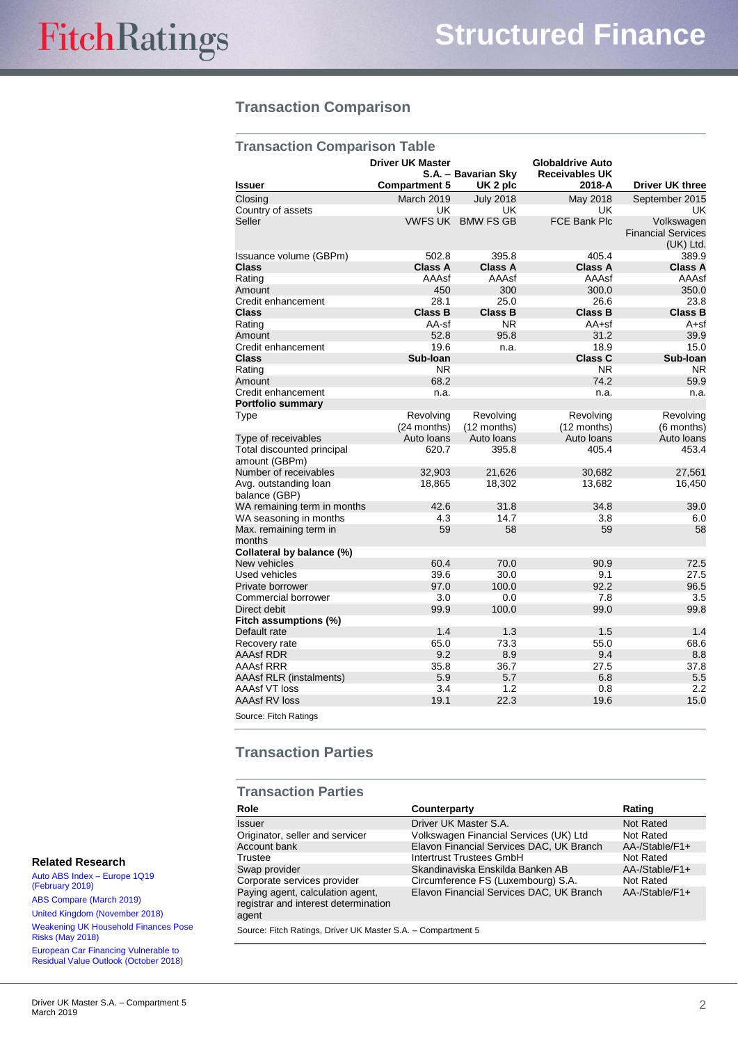## <span id="page-1-0"></span>**Transaction Comparison**

| <b>Transaction Comparison Table</b>         |                                                 |                                 |                                                            |                                         |  |
|---------------------------------------------|-------------------------------------------------|---------------------------------|------------------------------------------------------------|-----------------------------------------|--|
| <b>Issuer</b>                               | <b>Driver UK Master</b><br><b>Compartment 5</b> | S.A. - Bavarian Sky<br>UK 2 plc | <b>Globaldrive Auto</b><br><b>Receivables UK</b><br>2018-A | Driver UK three                         |  |
| Closing                                     | March 2019                                      | <b>July 2018</b>                | May 2018                                                   | September 2015                          |  |
| Country of assets                           | UK                                              | UK                              | UK                                                         | UK                                      |  |
| Seller                                      |                                                 | <b>VWFS UK BMW FS GB</b>        | <b>FCE Bank Plc</b>                                        | Volkswagen<br><b>Financial Services</b> |  |
|                                             |                                                 |                                 |                                                            | $(UK)$ Ltd.                             |  |
| Issuance volume (GBPm)                      | 502.8                                           | 395.8                           | 405.4                                                      | 389.9                                   |  |
| <b>Class</b>                                | Class A                                         | <b>Class A</b>                  | <b>Class A</b>                                             | Class A                                 |  |
| Rating                                      | AAAsf                                           | AAAsf                           | AAAsf                                                      | AAAsf                                   |  |
| Amount                                      | 450                                             | 300                             | 300.0                                                      | 350.0                                   |  |
| Credit enhancement                          | 28.1                                            | 25.0                            | 26.6                                                       | 23.8                                    |  |
| <b>Class</b>                                | <b>Class B</b>                                  | <b>Class B</b>                  | <b>Class B</b>                                             | <b>Class B</b>                          |  |
| Rating                                      | AA-sf                                           | N <sub>R</sub>                  | $AA+sf$                                                    | $A + sf$                                |  |
| Amount                                      | 52.8                                            | 95.8                            | 31.2                                                       | 39.9                                    |  |
| Credit enhancement                          | 19.6                                            | n.a.                            | 18.9                                                       | 15.0                                    |  |
| <b>Class</b>                                | Sub-Ioan                                        |                                 | <b>Class C</b>                                             | Sub-Ioan                                |  |
| Rating                                      | N <sub>R</sub>                                  |                                 | N <sub>R</sub>                                             | <b>NR</b>                               |  |
| Amount                                      | 68.2                                            |                                 | 74.2                                                       | 59.9                                    |  |
| Credit enhancement                          | n.a.                                            |                                 | n.a.                                                       | n.a.                                    |  |
| <b>Portfolio summary</b>                    |                                                 |                                 |                                                            |                                         |  |
| Type                                        | Revolving<br>(24 months)                        | Revolving<br>(12 months)        | Revolving<br>(12 months)                                   | Revolving<br>(6 months)                 |  |
| Type of receivables                         | Auto Ioans                                      | Auto Ioans                      | Auto loans                                                 | Auto Ioans                              |  |
| Total discounted principal<br>amount (GBPm) | 620.7                                           | 395.8                           | 405.4                                                      | 453.4                                   |  |
| Number of receivables                       | 32,903                                          | 21,626                          | 30,682                                                     | 27,561                                  |  |
| Avg. outstanding loan<br>balance (GBP)      | 18,865                                          | 18,302                          | 13,682                                                     | 16,450                                  |  |
| WA remaining term in months                 | 42.6                                            | 31.8                            | 34.8                                                       | 39.0                                    |  |
| WA seasoning in months                      | 4.3                                             | 14.7                            | 3.8                                                        | 6.0                                     |  |
| Max. remaining term in<br>months            | 59                                              | 58                              | 59                                                         | 58                                      |  |
| Collateral by balance (%)                   |                                                 |                                 |                                                            |                                         |  |
| New vehicles                                | 60.4                                            | 70.0                            | 90.9                                                       | 72.5                                    |  |
| Used vehicles                               | 39.6                                            | 30.0                            | 9.1                                                        | 27.5                                    |  |
| Private borrower                            | 97.0                                            | 100.0                           | 92.2                                                       | 96.5                                    |  |
| Commercial borrower                         | 3.0                                             | 0.0                             | 7.8                                                        | 3.5                                     |  |
| Direct debit                                | 99.9                                            | 100.0                           | 99.0                                                       | 99.8                                    |  |
| Fitch assumptions (%)                       |                                                 |                                 |                                                            |                                         |  |
| Default rate                                | 1.4                                             | 1.3                             | 1.5                                                        | 1.4                                     |  |
| Recovery rate                               | 65.0                                            | 73.3                            | 55.0                                                       | 68.6                                    |  |
| <b>AAAsf RDR</b>                            | 9.2                                             | 8.9                             | 9.4                                                        | 8.8                                     |  |
| <b>AAAsf RRR</b>                            | 35.8                                            | 36.7                            | 27.5                                                       | 37.8                                    |  |
| <b>AAAsf RLR (instalments)</b>              | 5.9                                             | 5.7                             | 6.8                                                        | 5.5                                     |  |
| AAAsf VT loss                               | 3.4                                             | 1.2                             | 0.8                                                        | 2.2                                     |  |
| <b>AAAsf RV loss</b>                        | 19.1                                            | 22.3                            | 19.6                                                       | 15.0                                    |  |
| Source: Fitch Ratings                       |                                                 |                                 |                                                            |                                         |  |

## <span id="page-1-1"></span>**Transaction Parties**

## **Transaction Parties**

| Role                                                                              | Counterparty                             | Rating           |
|-----------------------------------------------------------------------------------|------------------------------------------|------------------|
| <b>Issuer</b>                                                                     | Driver UK Master S.A.                    | <b>Not Rated</b> |
| Originator, seller and servicer                                                   | Volkswagen Financial Services (UK) Ltd   | Not Rated        |
| Account bank                                                                      | Elavon Financial Services DAC, UK Branch | AA-/Stable/F1+   |
| Trustee                                                                           | Intertrust Trustees GmbH                 | Not Rated        |
| Swap provider                                                                     | Skandinaviska Enskilda Banken AB         | AA-/Stable/F1+   |
| Corporate services provider                                                       | Circumference FS (Luxembourg) S.A.       | Not Rated        |
| Paying agent, calculation agent,<br>registrar and interest determination<br>agent | Elavon Financial Services DAC, UK Branch | AA-/Stable/F1+   |
| Source: Fitch Ratings, Driver UK Master S.A. - Compartment 5                      |                                          |                  |

## **Related Research**

[Auto ABS Index –](http://api.fitchconnect.com/v1/research/FR_RPT_10062099) Europe 1Q19 [\(February 2019\)](http://api.fitchconnect.com/v1/research/FR_RPT_10062099) [ABS Compare \(March](http://api.fitchconnect.com/v1/research/FR_RPT_10065128) 2019) [United Kingdom \(November 2018\)](http://api.fitchconnect.com/v1/research/FR_RPT_10051205) [Weakening UK Household Finances Pose](http://api.fitchconnect.com/v1/research/FR_RPT_10029044)  [Risks \(May 2018\)](http://api.fitchconnect.com/v1/research/FR_RPT_10029044) [European Car Financing Vulnerable to](http://api.fitchconnect.com/v1/research/FR_RPT_10045729)  [Residual Value Outlook \(October 2018\)](http://api.fitchconnect.com/v1/research/FR_RPT_10045729)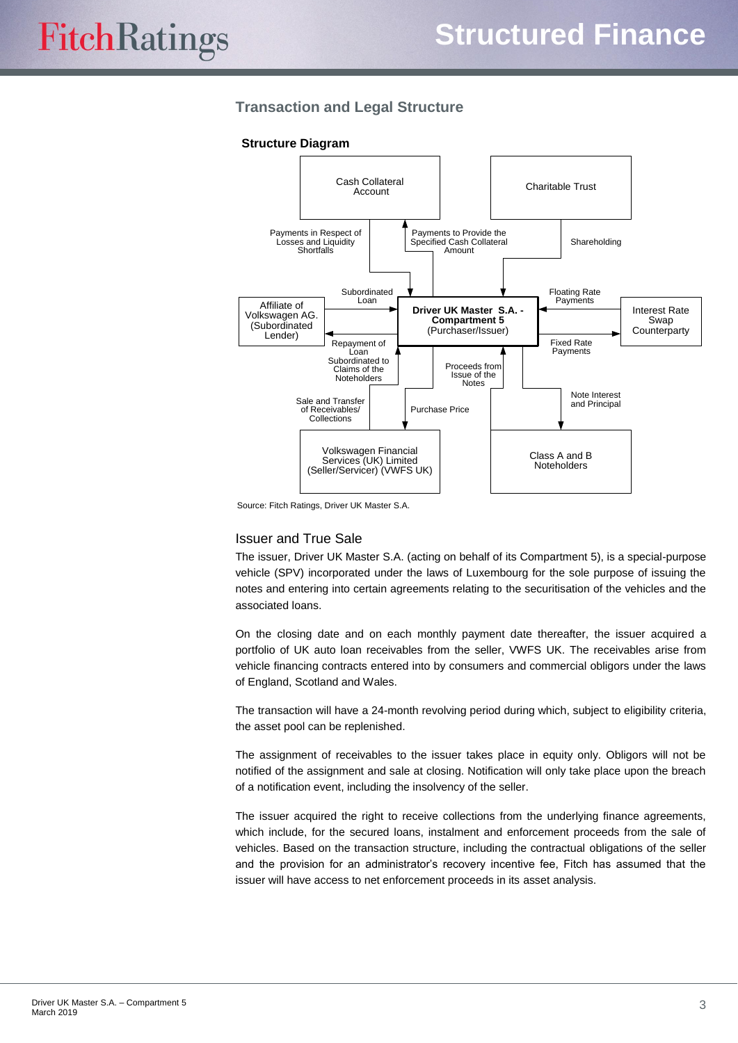## <span id="page-2-0"></span>**Transaction and Legal Structure**

#### **Structure Diagram**



Source: Fitch Ratings, Driver UK Master S.A.

#### Issuer and True Sale

The issuer, Driver UK Master S.A. (acting on behalf of its Compartment 5), is a special-purpose vehicle (SPV) incorporated under the laws of Luxembourg for the sole purpose of issuing the notes and entering into certain agreements relating to the securitisation of the vehicles and the associated loans.

On the closing date and on each monthly payment date thereafter, the issuer acquired a portfolio of UK auto loan receivables from the seller, VWFS UK. The receivables arise from vehicle financing contracts entered into by consumers and commercial obligors under the laws of England, Scotland and Wales.

The transaction will have a 24-month revolving period during which, subject to eligibility criteria, the asset pool can be replenished.

The assignment of receivables to the issuer takes place in equity only. Obligors will not be notified of the assignment and sale at closing. Notification will only take place upon the breach of a notification event, including the insolvency of the seller.

The issuer acquired the right to receive collections from the underlying finance agreements, which include, for the secured loans, instalment and enforcement proceeds from the sale of vehicles. Based on the transaction structure, including the contractual obligations of the seller and the provision for an administrator's recovery incentive fee, Fitch has assumed that the issuer will have access to net enforcement proceeds in its asset analysis.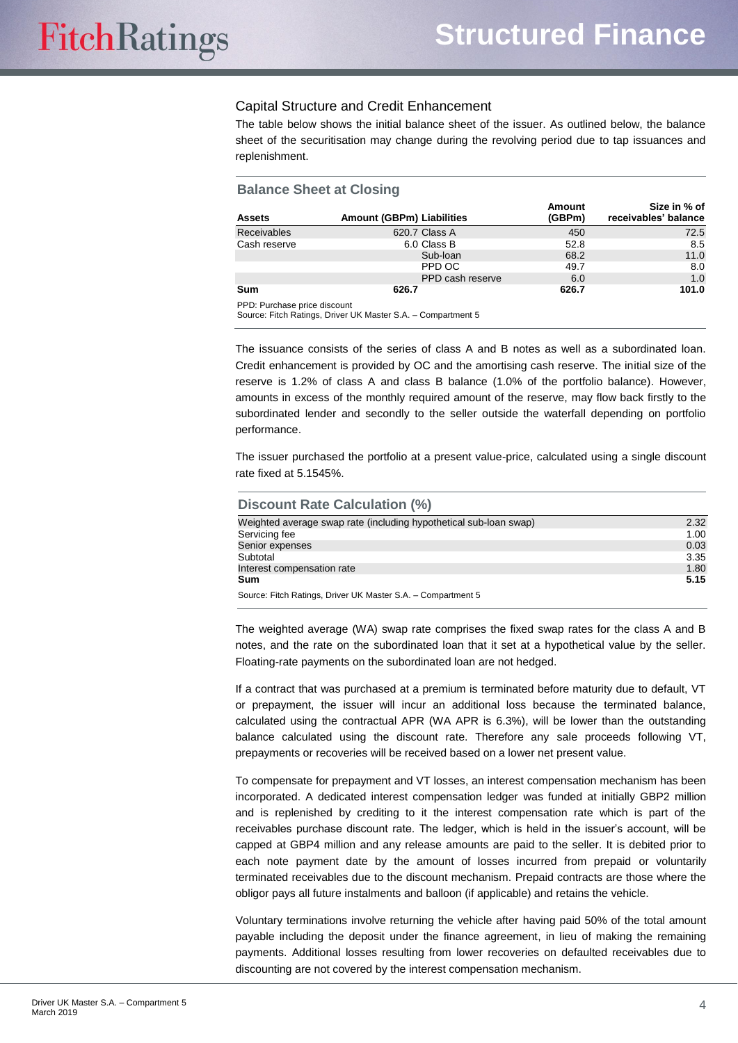#### Capital Structure and Credit Enhancement

The table below shows the initial balance sheet of the issuer. As outlined below, the balance sheet of the securitisation may change during the revolving period due to tap issuances and replenishment.

| <b>Balance Sheet at Closing</b> |                                  |                         |                                      |
|---------------------------------|----------------------------------|-------------------------|--------------------------------------|
| <b>Assets</b>                   | <b>Amount (GBPm) Liabilities</b> | <b>Amount</b><br>(GBPm) | Size in % of<br>receivables' balance |
| <b>Receivables</b>              | 620.7 Class A                    | 450                     | 72.5                                 |
| Cash reserve                    | 6.0 Class B                      | 52.8                    | 8.5                                  |
|                                 | Sub-loan                         | 68.2                    | 11.0                                 |
|                                 | PPD OC                           | 49.7                    | 8.0                                  |
|                                 | PPD cash reserve                 | 6.0                     | 1.0                                  |
| Sum                             | 626.7                            | 626.7                   | 101.0                                |
| DDD: Durchoon prion dinonunt    |                                  |                         |                                      |

PPD: Purchase price discount Source: Fitch Ratings, Driver UK Master S.A. – Compartment 5

The issuance consists of the series of class A and B notes as well as a subordinated loan. Credit enhancement is provided by OC and the amortising cash reserve. The initial size of the reserve is 1.2% of class A and class B balance (1.0% of the portfolio balance). However, amounts in excess of the monthly required amount of the reserve, may flow back firstly to the subordinated lender and secondly to the seller outside the waterfall depending on portfolio performance.

The issuer purchased the portfolio at a present value-price, calculated using a single discount rate fixed at 5.1545%.

| <b>Discount Rate Calculation (%)</b>                              |      |
|-------------------------------------------------------------------|------|
| Weighted average swap rate (including hypothetical sub-loan swap) | 2.32 |
| Servicing fee                                                     | 1.00 |
| Senior expenses                                                   | 0.03 |
| Subtotal                                                          | 3.35 |
| Interest compensation rate                                        | 1.80 |
| Sum                                                               | 5.15 |
| Course: Fitch Dotings, Driver U.K. Mootor C.A. Composition on F.  |      |

ource: Fitch Ratings, Driver UK Master S.A. – Compartment 5

The weighted average (WA) swap rate comprises the fixed swap rates for the class A and B notes, and the rate on the subordinated loan that it set at a hypothetical value by the seller. Floating-rate payments on the subordinated loan are not hedged.

If a contract that was purchased at a premium is terminated before maturity due to default, VT or prepayment, the issuer will incur an additional loss because the terminated balance, calculated using the contractual APR (WA APR is 6.3%), will be lower than the outstanding balance calculated using the discount rate. Therefore any sale proceeds following VT, prepayments or recoveries will be received based on a lower net present value.

To compensate for prepayment and VT losses, an interest compensation mechanism has been incorporated. A dedicated interest compensation ledger was funded at initially GBP2 million and is replenished by crediting to it the interest compensation rate which is part of the receivables purchase discount rate. The ledger, which is held in the issuer's account, will be capped at GBP4 million and any release amounts are paid to the seller. It is debited prior to each note payment date by the amount of losses incurred from prepaid or voluntarily terminated receivables due to the discount mechanism. Prepaid contracts are those where the obligor pays all future instalments and balloon (if applicable) and retains the vehicle.

Voluntary terminations involve returning the vehicle after having paid 50% of the total amount payable including the deposit under the finance agreement, in lieu of making the remaining payments. Additional losses resulting from lower recoveries on defaulted receivables due to discounting are not covered by the interest compensation mechanism.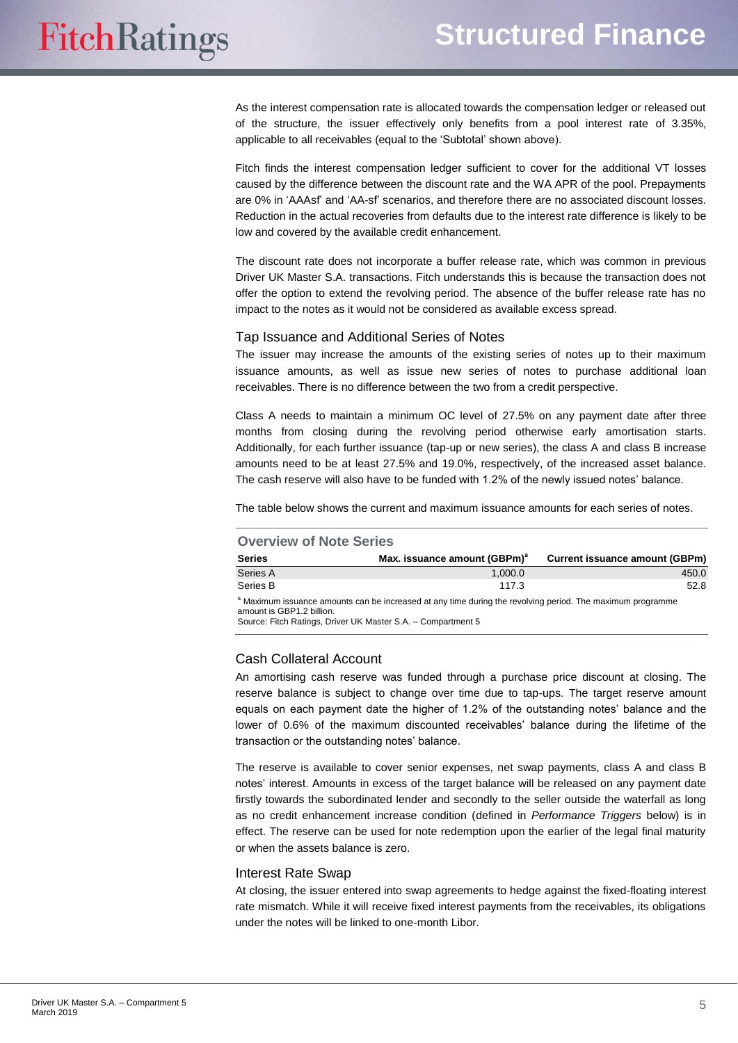As the interest compensation rate is allocated towards the compensation ledger or released out of the structure, the issuer effectively only benefits from a pool interest rate of 3.35%, applicable to all receivables (equal to the 'Subtotal' shown above).

Fitch finds the interest compensation ledger sufficient to cover for the additional VT losses caused by the difference between the discount rate and the WA APR of the pool. Prepayments are 0% in 'AAAsf' and 'AA-sf' scenarios, and therefore there are no associated discount losses. Reduction in the actual recoveries from defaults due to the interest rate difference is likely to be low and covered by the available credit enhancement.

The discount rate does not incorporate a buffer release rate, which was common in previous Driver UK Master S.A. transactions. Fitch understands this is because the transaction does not offer the option to extend the revolving period. The absence of the buffer release rate has no impact to the notes as it would not be considered as available excess spread.

#### Tap Issuance and Additional Series of Notes

The issuer may increase the amounts of the existing series of notes up to their maximum issuance amounts, as well as issue new series of notes to purchase additional loan receivables. There is no difference between the two from a credit perspective.

Class A needs to maintain a minimum OC level of 27.5% on any payment date after three months from closing during the revolving period otherwise early amortisation starts. Additionally, for each further issuance (tap-up or new series), the class A and class B increase amounts need to be at least 27.5% and 19.0%, respectively, of the increased asset balance. The cash reserve will also have to be funded with 1.2% of the newly issued notes' balance.

The table below shows the current and maximum issuance amounts for each series of notes.

| <b>Overview of Note Series</b>                                                                                                                                                                                     |                                          |                                       |  |  |
|--------------------------------------------------------------------------------------------------------------------------------------------------------------------------------------------------------------------|------------------------------------------|---------------------------------------|--|--|
| <b>Series</b>                                                                                                                                                                                                      | Max. issuance amount (GBPm) <sup>a</sup> | <b>Current issuance amount (GBPm)</b> |  |  |
| Series A                                                                                                                                                                                                           | 1,000.0                                  | 450.0                                 |  |  |
| Series B                                                                                                                                                                                                           | 117.3                                    | 52.8                                  |  |  |
| <sup>a</sup> Maximum issuance amounts can be increased at any time during the revolving period. The maximum programme<br>amount is GBP1.2 billion.<br>Source: Fitch Ratings, Driver UK Master S.A. - Compartment 5 |                                          |                                       |  |  |

## Cash Collateral Account

An amortising cash reserve was funded through a purchase price discount at closing. The reserve balance is subject to change over time due to tap-ups. The target reserve amount equals on each payment date the higher of 1.2% of the outstanding notes' balance and the lower of 0.6% of the maximum discounted receivables' balance during the lifetime of the transaction or the outstanding notes' balance.

The reserve is available to cover senior expenses, net swap payments, class A and class B notes' interest. Amounts in excess of the target balance will be released on any payment date firstly towards the subordinated lender and secondly to the seller outside the waterfall as long as no credit enhancement increase condition (defined in *Performance Triggers* below) is in effect. The reserve can be used for note redemption upon the earlier of the legal final maturity or when the assets balance is zero.

#### Interest Rate Swap

At closing, the issuer entered into swap agreements to hedge against the fixed-floating interest rate mismatch. While it will receive fixed interest payments from the receivables, its obligations under the notes will be linked to one-month Libor.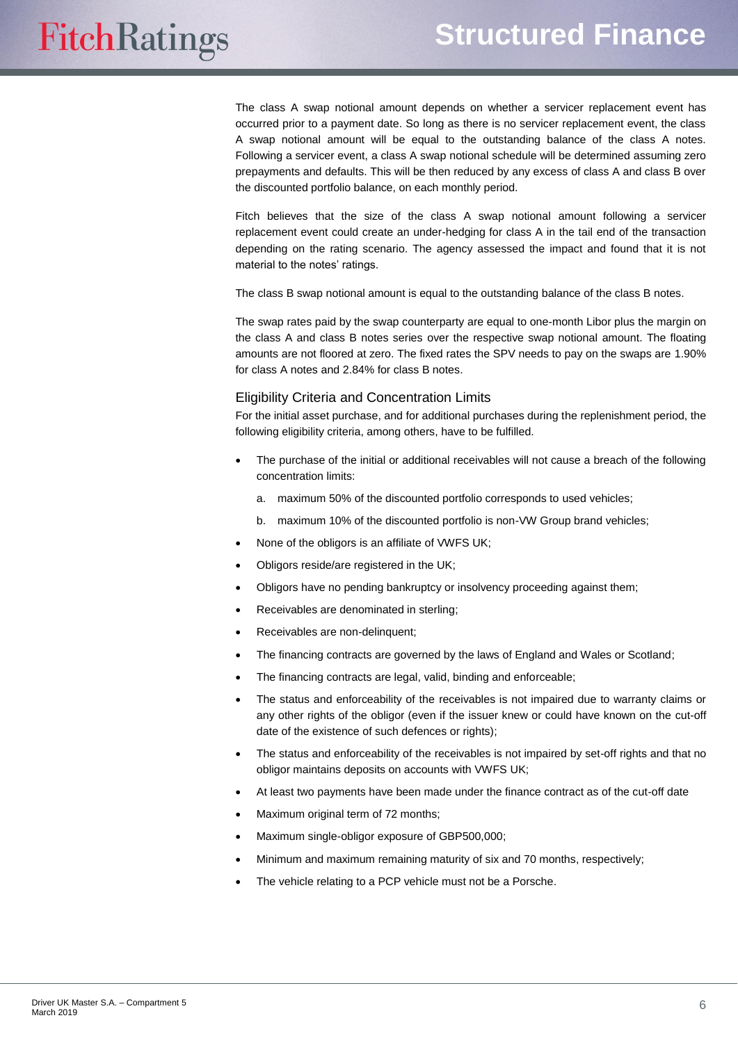The class A swap notional amount depends on whether a servicer replacement event has occurred prior to a payment date. So long as there is no servicer replacement event, the class A swap notional amount will be equal to the outstanding balance of the class A notes. Following a servicer event, a class A swap notional schedule will be determined assuming zero prepayments and defaults. This will be then reduced by any excess of class A and class B over the discounted portfolio balance, on each monthly period.

Fitch believes that the size of the class A swap notional amount following a servicer replacement event could create an under-hedging for class A in the tail end of the transaction depending on the rating scenario. The agency assessed the impact and found that it is not material to the notes' ratings.

The class B swap notional amount is equal to the outstanding balance of the class B notes.

The swap rates paid by the swap counterparty are equal to one-month Libor plus the margin on the class A and class B notes series over the respective swap notional amount. The floating amounts are not floored at zero. The fixed rates the SPV needs to pay on the swaps are 1.90% for class A notes and 2.84% for class B notes.

#### Eligibility Criteria and Concentration Limits

For the initial asset purchase, and for additional purchases during the replenishment period, the following eligibility criteria, among others, have to be fulfilled.

- The purchase of the initial or additional receivables will not cause a breach of the following concentration limits:
	- a. maximum 50% of the discounted portfolio corresponds to used vehicles;
	- b. maximum 10% of the discounted portfolio is non-VW Group brand vehicles;
- None of the obligors is an affiliate of VWFS UK;
- Obligors reside/are registered in the UK;
- Obligors have no pending bankruptcy or insolvency proceeding against them;
- Receivables are denominated in sterling;
- Receivables are non-delinquent;
- The financing contracts are governed by the laws of England and Wales or Scotland;
- The financing contracts are legal, valid, binding and enforceable;
- The status and enforceability of the receivables is not impaired due to warranty claims or any other rights of the obligor (even if the issuer knew or could have known on the cut-off date of the existence of such defences or rights);
- The status and enforceability of the receivables is not impaired by set-off rights and that no obligor maintains deposits on accounts with VWFS UK;
- At least two payments have been made under the finance contract as of the cut-off date
- Maximum original term of 72 months;
- Maximum single-obligor exposure of GBP500,000;
- Minimum and maximum remaining maturity of six and 70 months, respectively;
- The vehicle relating to a PCP vehicle must not be a Porsche.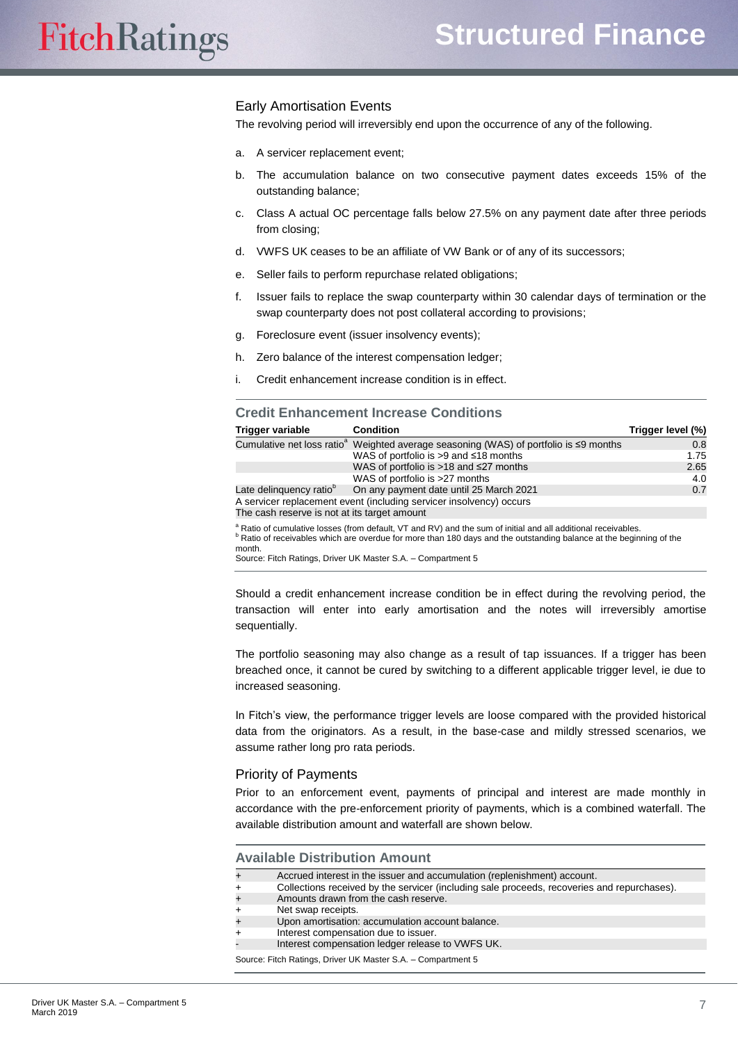#### Early Amortisation Events

The revolving period will irreversibly end upon the occurrence of any of the following.

- a. A servicer replacement event;
- b. The accumulation balance on two consecutive payment dates exceeds 15% of the outstanding balance;
- c. Class A actual OC percentage falls below 27.5% on any payment date after three periods from closing;
- d. VWFS UK ceases to be an affiliate of VW Bank or of any of its successors;
- e. Seller fails to perform repurchase related obligations;
- f. Issuer fails to replace the swap counterparty within 30 calendar days of termination or the swap counterparty does not post collateral according to provisions;
- g. Foreclosure event (issuer insolvency events);
- h. Zero balance of the interest compensation ledger;
- i. Credit enhancement increase condition is in effect.

#### **Credit Enhancement Increase Conditions**

| Trigger variable                             | <b>Condition</b>                                                                                        | Trigger level (%) |
|----------------------------------------------|---------------------------------------------------------------------------------------------------------|-------------------|
|                                              | Cumulative net loss ratio <sup>a</sup> Weighted average seasoning (WAS) of portfolio is $\leq$ 9 months | 0.8               |
|                                              | WAS of portfolio is $>9$ and $\leq$ 18 months                                                           | 1.75              |
|                                              | WAS of portfolio is $>18$ and $\leq$ 27 months                                                          | 2.65              |
|                                              | WAS of portfolio is >27 months                                                                          | 4.0               |
| Late delinguency ratio <sup>o</sup>          | On any payment date until 25 March 2021                                                                 | 0.7               |
|                                              | A servicer replacement event (including servicer insolvency) occurs                                     |                   |
| The cash reserve is not at its target amount |                                                                                                         |                   |

<sup>a</sup> Ratio of cumulative losses (from default, VT and RV) and the sum of initial and all additional receivables.

b Ratio of receivables which are overdue for more than 180 days and the outstanding balance at the beginning of the

month.

Source: Fitch Ratings, Driver UK Master S.A. – Compartment 5

Should a credit enhancement increase condition be in effect during the revolving period, the transaction will enter into early amortisation and the notes will irreversibly amortise sequentially.

The portfolio seasoning may also change as a result of tap issuances. If a trigger has been breached once, it cannot be cured by switching to a different applicable trigger level, ie due to increased seasoning.

In Fitch's view, the performance trigger levels are loose compared with the provided historical data from the originators. As a result, in the base-case and mildly stressed scenarios, we assume rather long pro rata periods.

#### Priority of Payments

Prior to an enforcement event, payments of principal and interest are made monthly in accordance with the pre-enforcement priority of payments, which is a combined waterfall. The available distribution amount and waterfall are shown below.

#### **Available Distribution Amount**

+ Accrued interest in the issuer and accumulation (replenishment) account.

+ Collections received by the servicer (including sale proceeds, recoveries and repurchases).

- Amounts drawn from the cash reserve.
- Net swap receipts.
- + Upon amortisation: accumulation account balance.
- Interest compensation due to issuer.

Interest compensation ledger release to VWFS UK.

Source: Fitch Ratings, Driver UK Master S.A. – Compartment 5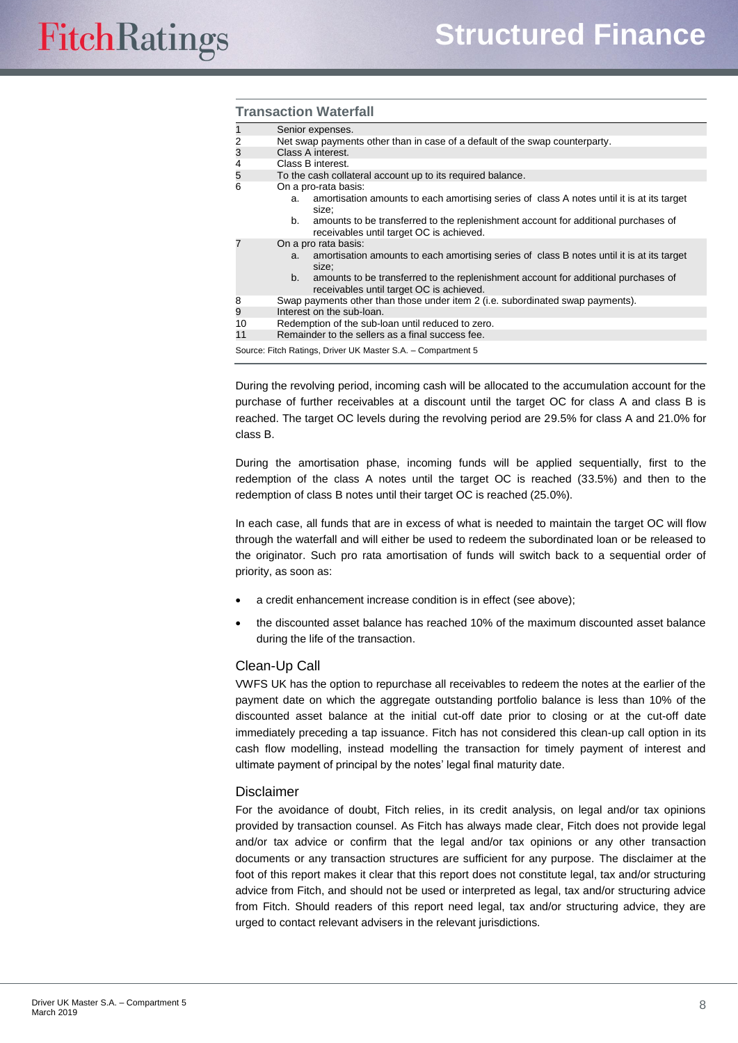#### **Transaction Waterfall**

| Senior expenses.    |
|---------------------|
| Net access was made |

Net swap payments other than in case of a default of the swap counterparty.

| 3 |  | Class A interest. |
|---|--|-------------------|
|   |  |                   |

- 4 Class B interest.<br>5 To the cash colla
	- To the cash collateral account up to its required balance.
- 6 On a pro-rata basis:
	- a. amortisation amounts to each amortising series of class A notes until it is at its target size;
	- b. amounts to be transferred to the replenishment account for additional purchases of receivables until target OC is achieved.
- 7 On a pro rata basis:
	- a. amortisation amounts to each amortising series of class B notes until it is at its target size; b. amounts to be transferred to the replenishment account for additional purchases of receivables until target OC is achieved.
	- 8 Swap payments other than those under item 2 (i.e. subordinated swap payments).
	- 9 Interest on the sub-loan.
	- 10 Redemption of the sub-loan until reduced to zero.<br>11 Remainder to the sellers as a final success fee. Remainder to the sellers as a final success fee.

Source: Fitch Ratings, Driver UK Master S.A. – Compartment 5

During the revolving period, incoming cash will be allocated to the accumulation account for the purchase of further receivables at a discount until the target OC for class A and class B is reached. The target OC levels during the revolving period are 29.5% for class A and 21.0% for class B.

During the amortisation phase, incoming funds will be applied sequentially, first to the redemption of the class A notes until the target OC is reached (33.5%) and then to the redemption of class B notes until their target OC is reached (25.0%).

In each case, all funds that are in excess of what is needed to maintain the target OC will flow through the waterfall and will either be used to redeem the subordinated loan or be released to the originator. Such pro rata amortisation of funds will switch back to a sequential order of priority, as soon as:

- a credit enhancement increase condition is in effect (see above);
- the discounted asset balance has reached 10% of the maximum discounted asset balance during the life of the transaction.

## Clean-Up Call

VWFS UK has the option to repurchase all receivables to redeem the notes at the earlier of the payment date on which the aggregate outstanding portfolio balance is less than 10% of the discounted asset balance at the initial cut-off date prior to closing or at the cut-off date immediately preceding a tap issuance. Fitch has not considered this clean-up call option in its cash flow modelling, instead modelling the transaction for timely payment of interest and ultimate payment of principal by the notes' legal final maturity date.

## **Disclaimer**

For the avoidance of doubt, Fitch relies, in its credit analysis, on legal and/or tax opinions provided by transaction counsel. As Fitch has always made clear, Fitch does not provide legal and/or tax advice or confirm that the legal and/or tax opinions or any other transaction documents or any transaction structures are sufficient for any purpose. The disclaimer at the foot of this report makes it clear that this report does not constitute legal, tax and/or structuring advice from Fitch, and should not be used or interpreted as legal, tax and/or structuring advice from Fitch. Should readers of this report need legal, tax and/or structuring advice, they are urged to contact relevant advisers in the relevant jurisdictions.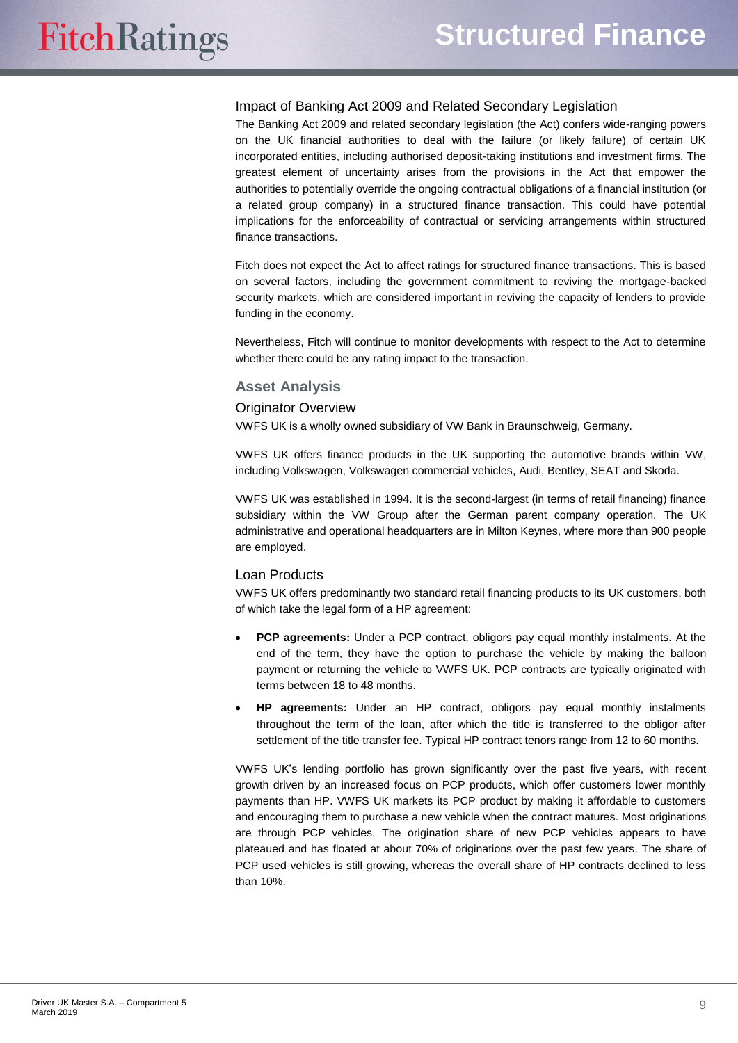#### Impact of Banking Act 2009 and Related Secondary Legislation

The Banking Act 2009 and related secondary legislation (the Act) confers wide-ranging powers on the UK financial authorities to deal with the failure (or likely failure) of certain UK incorporated entities, including authorised deposit-taking institutions and investment firms. The greatest element of uncertainty arises from the provisions in the Act that empower the authorities to potentially override the ongoing contractual obligations of a financial institution (or a related group company) in a structured finance transaction. This could have potential implications for the enforceability of contractual or servicing arrangements within structured finance transactions.

Fitch does not expect the Act to affect ratings for structured finance transactions. This is based on several factors, including the government commitment to reviving the mortgage-backed security markets, which are considered important in reviving the capacity of lenders to provide funding in the economy.

Nevertheless, Fitch will continue to monitor developments with respect to the Act to determine whether there could be any rating impact to the transaction.

#### <span id="page-8-0"></span>**Asset Analysis**

#### Originator Overview

VWFS UK is a wholly owned subsidiary of VW Bank in Braunschweig, Germany.

VWFS UK offers finance products in the UK supporting the automotive brands within VW, including Volkswagen, Volkswagen commercial vehicles, Audi, Bentley, SEAT and Skoda.

VWFS UK was established in 1994. It is the second-largest (in terms of retail financing) finance subsidiary within the VW Group after the German parent company operation. The UK administrative and operational headquarters are in Milton Keynes, where more than 900 people are employed.

## Loan Products

VWFS UK offers predominantly two standard retail financing products to its UK customers, both of which take the legal form of a HP agreement:

- **PCP agreements:** Under a PCP contract, obligors pay equal monthly instalments. At the end of the term, they have the option to purchase the vehicle by making the balloon payment or returning the vehicle to VWFS UK. PCP contracts are typically originated with terms between 18 to 48 months.
- **HP agreements:** Under an HP contract, obligors pay equal monthly instalments throughout the term of the loan, after which the title is transferred to the obligor after settlement of the title transfer fee. Typical HP contract tenors range from 12 to 60 months.

VWFS UK's lending portfolio has grown significantly over the past five years, with recent growth driven by an increased focus on PCP products, which offer customers lower monthly payments than HP. VWFS UK markets its PCP product by making it affordable to customers and encouraging them to purchase a new vehicle when the contract matures. Most originations are through PCP vehicles. The origination share of new PCP vehicles appears to have plateaued and has floated at about 70% of originations over the past few years. The share of PCP used vehicles is still growing, whereas the overall share of HP contracts declined to less than 10%.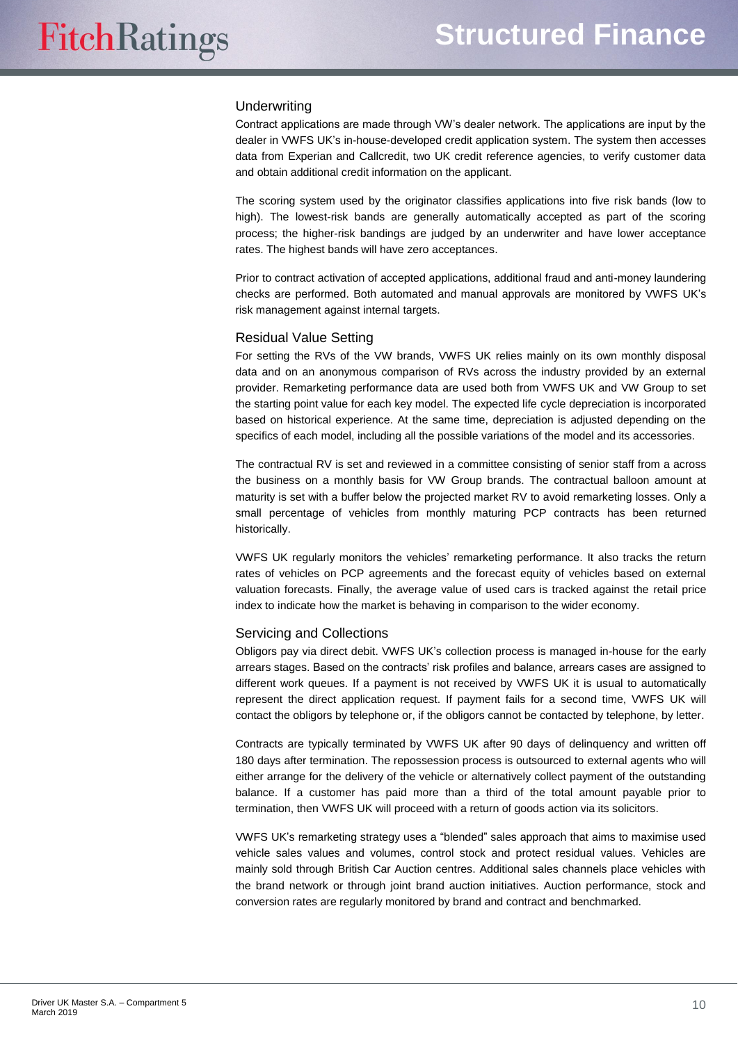#### **Underwriting**

Contract applications are made through VW's dealer network. The applications are input by the dealer in VWFS UK's in-house-developed credit application system. The system then accesses data from Experian and Callcredit, two UK credit reference agencies, to verify customer data and obtain additional credit information on the applicant.

The scoring system used by the originator classifies applications into five risk bands (low to high). The lowest-risk bands are generally automatically accepted as part of the scoring process; the higher-risk bandings are judged by an underwriter and have lower acceptance rates. The highest bands will have zero acceptances.

Prior to contract activation of accepted applications, additional fraud and anti-money laundering checks are performed. Both automated and manual approvals are monitored by VWFS UK's risk management against internal targets.

#### Residual Value Setting

For setting the RVs of the VW brands, VWFS UK relies mainly on its own monthly disposal data and on an anonymous comparison of RVs across the industry provided by an external provider. Remarketing performance data are used both from VWFS UK and VW Group to set the starting point value for each key model. The expected life cycle depreciation is incorporated based on historical experience. At the same time, depreciation is adjusted depending on the specifics of each model, including all the possible variations of the model and its accessories.

The contractual RV is set and reviewed in a committee consisting of senior staff from a across the business on a monthly basis for VW Group brands. The contractual balloon amount at maturity is set with a buffer below the projected market RV to avoid remarketing losses. Only a small percentage of vehicles from monthly maturing PCP contracts has been returned historically.

VWFS UK regularly monitors the vehicles' remarketing performance. It also tracks the return rates of vehicles on PCP agreements and the forecast equity of vehicles based on external valuation forecasts. Finally, the average value of used cars is tracked against the retail price index to indicate how the market is behaving in comparison to the wider economy.

#### Servicing and Collections

Obligors pay via direct debit. VWFS UK's collection process is managed in-house for the early arrears stages. Based on the contracts' risk profiles and balance, arrears cases are assigned to different work queues. If a payment is not received by VWFS UK it is usual to automatically represent the direct application request. If payment fails for a second time, VWFS UK will contact the obligors by telephone or, if the obligors cannot be contacted by telephone, by letter.

Contracts are typically terminated by VWFS UK after 90 days of delinquency and written off 180 days after termination. The repossession process is outsourced to external agents who will either arrange for the delivery of the vehicle or alternatively collect payment of the outstanding balance. If a customer has paid more than a third of the total amount payable prior to termination, then VWFS UK will proceed with a return of goods action via its solicitors.

VWFS UK's remarketing strategy uses a "blended" sales approach that aims to maximise used vehicle sales values and volumes, control stock and protect residual values. Vehicles are mainly sold through British Car Auction centres. Additional sales channels place vehicles with the brand network or through joint brand auction initiatives. Auction performance, stock and conversion rates are regularly monitored by brand and contract and benchmarked.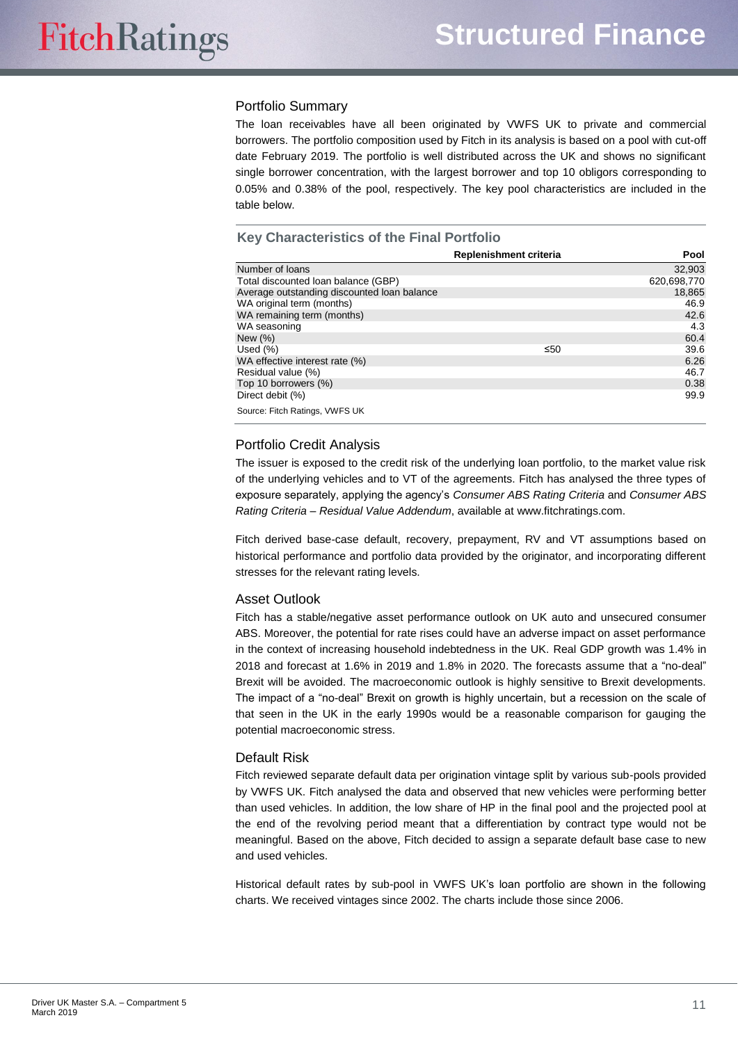## Portfolio Summary

The loan receivables have all been originated by VWFS UK to private and commercial borrowers. The portfolio composition used by Fitch in its analysis is based on a pool with cut-off date February 2019. The portfolio is well distributed across the UK and shows no significant single borrower concentration, with the largest borrower and top 10 obligors corresponding to 0.05% and 0.38% of the pool, respectively. The key pool characteristics are included in the table below.

## **Key Characteristics of the Final Portfolio**

|                                             | Replenishment criteria | <b>Pool</b> |
|---------------------------------------------|------------------------|-------------|
| Number of loans                             |                        | 32,903      |
| Total discounted loan balance (GBP)         |                        | 620,698,770 |
| Average outstanding discounted loan balance |                        | 18,865      |
| WA original term (months)                   |                        | 46.9        |
| WA remaining term (months)                  |                        | 42.6        |
| WA seasoning                                |                        | 4.3         |
| New $(\% )$                                 |                        | 60.4        |
| Used $(\%)$                                 | ≤50                    | 39.6        |
| WA effective interest rate (%)              |                        | 6.26        |
| Residual value (%)                          |                        | 46.7        |
| Top 10 borrowers (%)                        |                        | 0.38        |
| Direct debit (%)                            |                        | 99.9        |
| Source: Fitch Ratings, VWFS UK              |                        |             |

## Portfolio Credit Analysis

The issuer is exposed to the credit risk of the underlying loan portfolio, to the market value risk of the underlying vehicles and to VT of the agreements. Fitch has analysed the three types of exposure separately, applying the agency's *Consumer ABS Rating Criteria* and *Consumer ABS Rating Criteria – Residual Value Addendum*, available at [www.fitchratings.com.](http://www.fitchratings.com/)

Fitch derived base-case default, recovery, prepayment, RV and VT assumptions based on historical performance and portfolio data provided by the originator, and incorporating different stresses for the relevant rating levels.

## Asset Outlook

Fitch has a stable/negative asset performance outlook on UK auto and unsecured consumer ABS. Moreover, the potential for rate rises could have an adverse impact on asset performance in the context of increasing household indebtedness in the UK. Real GDP growth was 1.4% in 2018 and forecast at 1.6% in 2019 and 1.8% in 2020. The forecasts assume that a "no-deal" Brexit will be avoided. The macroeconomic outlook is highly sensitive to Brexit developments. The impact of a "no-deal" Brexit on growth is highly uncertain, but a recession on the scale of that seen in the UK in the early 1990s would be a reasonable comparison for gauging the potential macroeconomic stress.

## Default Risk

Fitch reviewed separate default data per origination vintage split by various sub-pools provided by VWFS UK. Fitch analysed the data and observed that new vehicles were performing better than used vehicles. In addition, the low share of HP in the final pool and the projected pool at the end of the revolving period meant that a differentiation by contract type would not be meaningful. Based on the above, Fitch decided to assign a separate default base case to new and used vehicles.

Historical default rates by sub-pool in VWFS UK's loan portfolio are shown in the following charts. We received vintages since 2002. The charts include those since 2006.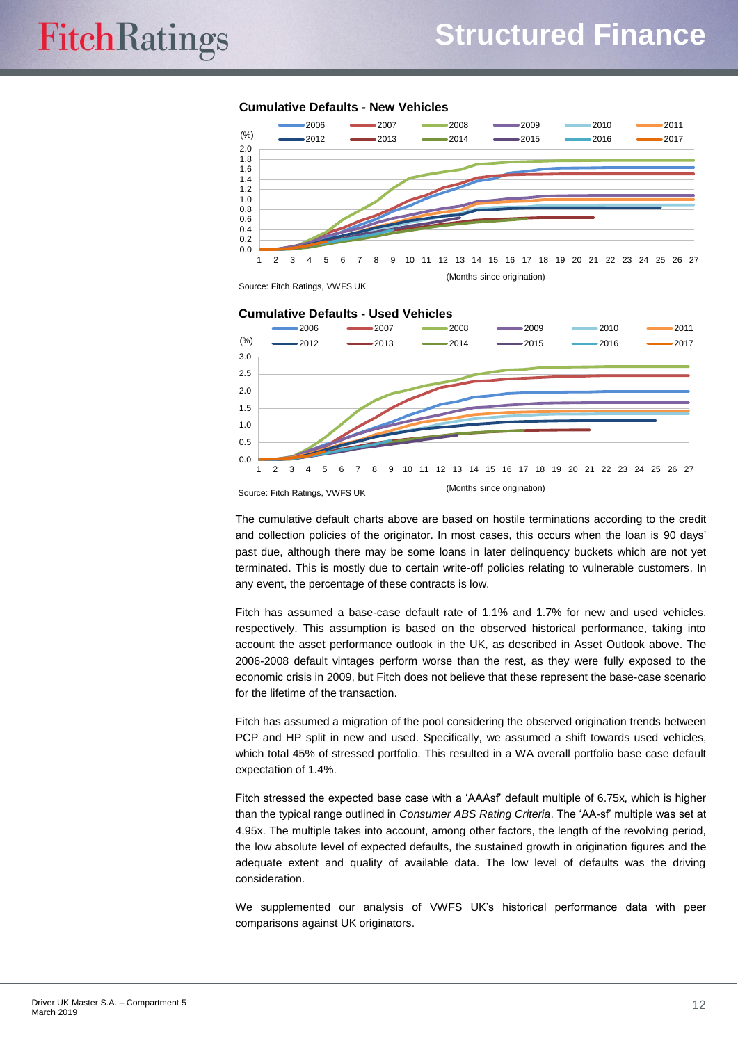#### **Cumulative Defaults - New Vehicles**



Source: Fitch Ratings, VWFS UK

#### **Cumulative Defaults - Used Vehicles**



Source: Fitch Ratings, VWFS UK (Months since origination)

The cumulative default charts above are based on hostile terminations according to the credit and collection policies of the originator. In most cases, this occurs when the loan is 90 days' past due, although there may be some loans in later delinquency buckets which are not yet terminated. This is mostly due to certain write-off policies relating to vulnerable customers. In any event, the percentage of these contracts is low.

Fitch has assumed a base-case default rate of 1.1% and 1.7% for new and used vehicles, respectively. This assumption is based on the observed historical performance, taking into account the asset performance outlook in the UK, as described in Asset Outlook above. The 2006-2008 default vintages perform worse than the rest, as they were fully exposed to the economic crisis in 2009, but Fitch does not believe that these represent the base-case scenario for the lifetime of the transaction.

Fitch has assumed a migration of the pool considering the observed origination trends between PCP and HP split in new and used. Specifically, we assumed a shift towards used vehicles, which total 45% of stressed portfolio. This resulted in a WA overall portfolio base case default expectation of 1.4%.

Fitch stressed the expected base case with a 'AAAsf' default multiple of 6.75x, which is higher than the typical range outlined in *Consumer ABS Rating Criteria*. The 'AA-sf' multiple was set at 4.95x. The multiple takes into account, among other factors, the length of the revolving period, the low absolute level of expected defaults, the sustained growth in origination figures and the adequate extent and quality of available data. The low level of defaults was the driving consideration.

We supplemented our analysis of VWFS UK's historical performance data with peer comparisons against UK originators.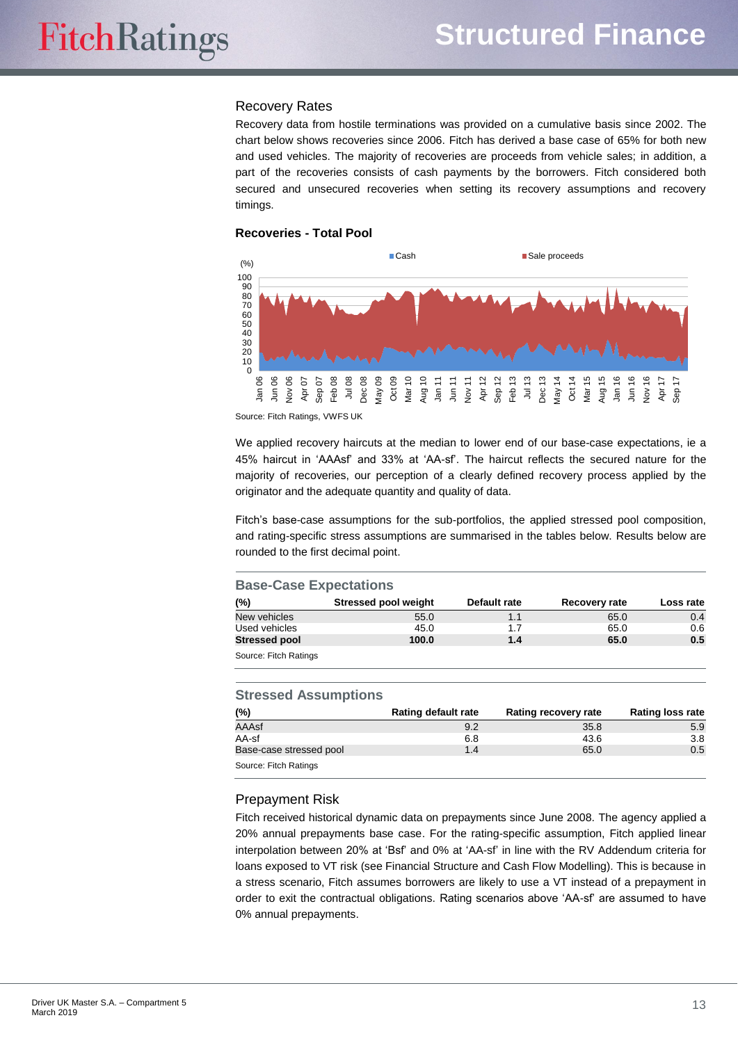#### Recovery Rates

Recovery data from hostile terminations was provided on a cumulative basis since 2002. The chart below shows recoveries since 2006. Fitch has derived a base case of 65% for both new and used vehicles. The majority of recoveries are proceeds from vehicle sales; in addition, a part of the recoveries consists of cash payments by the borrowers. Fitch considered both secured and unsecured recoveries when setting its recovery assumptions and recovery timings.

#### **Recoveries - Total Pool**



Source: Fitch Ratings, VWFS UK

We applied recovery haircuts at the median to lower end of our base-case expectations, ie a 45% haircut in 'AAAsf' and 33% at 'AA-sf'. The haircut reflects the secured nature for the majority of recoveries, our perception of a clearly defined recovery process applied by the originator and the adequate quantity and quality of data.

Fitch's base-case assumptions for the sub-portfolios, the applied stressed pool composition, and rating-specific stress assumptions are summarised in the tables below. Results below are rounded to the first decimal point.

#### **Base-Case Expectations (%) Stressed pool weight Default rate Recovery rate Loss rate** New vehicles 55.0 1.1 65.0 0.4 Used vehicles 65.0 1.7 65.0 0.6 **Stressed pool 100.0 1.4 65.0 0.5** Source: Fitch Ratings

#### **Stressed Assumptions**

| (%)                     | Rating default rate | Rating recovery rate | <b>Rating loss rate</b> |
|-------------------------|---------------------|----------------------|-------------------------|
| AAAsf                   | 9.2                 | 35.8                 | 5.9                     |
| AA-sf                   | 6.8                 | 43.6                 | 3.8                     |
| Base-case stressed pool | 1.4                 | 65.0                 | 0.5                     |
| Source: Fitch Ratings   |                     |                      |                         |

## Prepayment Risk

Fitch received historical dynamic data on prepayments since June 2008. The agency applied a 20% annual prepayments base case. For the rating-specific assumption, Fitch applied linear interpolation between 20% at 'Bsf' and 0% at 'AA-sf' in line with the RV Addendum criteria for loans exposed to VT risk (see Financial Structure and Cash Flow Modelling). This is because in a stress scenario, Fitch assumes borrowers are likely to use a VT instead of a prepayment in order to exit the contractual obligations. Rating scenarios above 'AA-sf' are assumed to have 0% annual prepayments.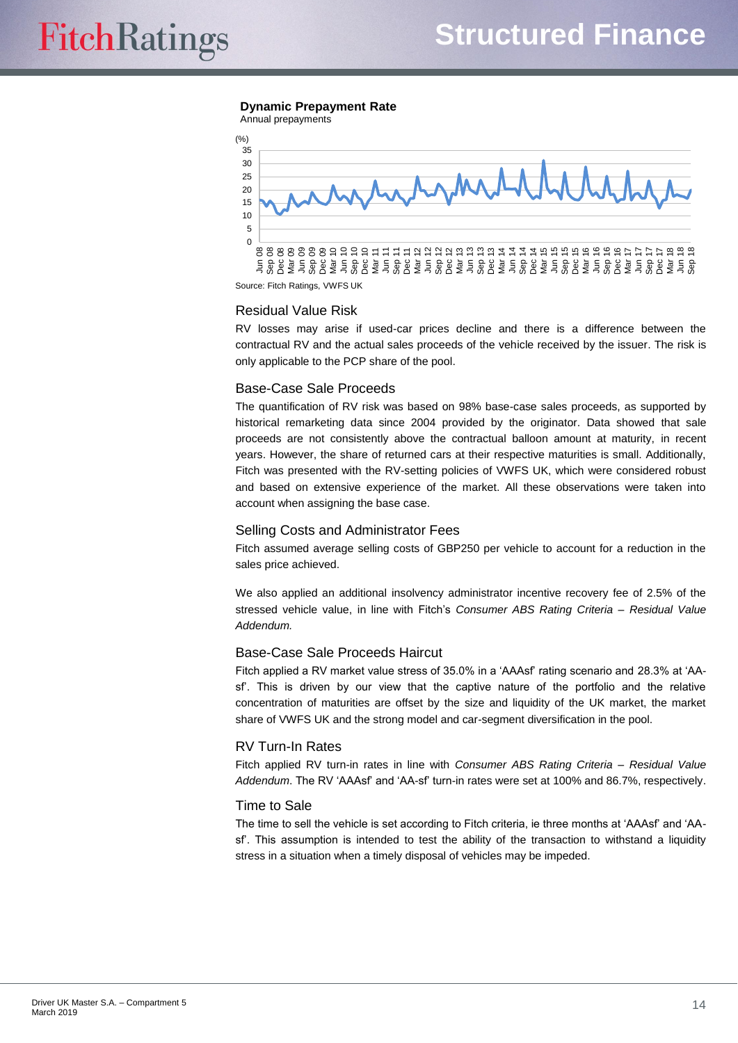#### **Dynamic Prepayment Rate** Annual prepayments



Source: Fitch Ratings, VWFS UK

#### Residual Value Risk

RV losses may arise if used-car prices decline and there is a difference between the contractual RV and the actual sales proceeds of the vehicle received by the issuer. The risk is only applicable to the PCP share of the pool.

#### Base-Case Sale Proceeds

The quantification of RV risk was based on 98% base-case sales proceeds, as supported by historical remarketing data since 2004 provided by the originator. Data showed that sale proceeds are not consistently above the contractual balloon amount at maturity, in recent years. However, the share of returned cars at their respective maturities is small. Additionally, Fitch was presented with the RV-setting policies of VWFS UK, which were considered robust and based on extensive experience of the market. All these observations were taken into account when assigning the base case.

#### Selling Costs and Administrator Fees

Fitch assumed average selling costs of GBP250 per vehicle to account for a reduction in the sales price achieved.

We also applied an additional insolvency administrator incentive recovery fee of 2.5% of the stressed vehicle value, in line with Fitch's *Consumer ABS Rating Criteria – Residual Value Addendum.*

#### Base-Case Sale Proceeds Haircut

Fitch applied a RV market value stress of 35.0% in a 'AAAsf' rating scenario and 28.3% at 'AAsf'. This is driven by our view that the captive nature of the portfolio and the relative concentration of maturities are offset by the size and liquidity of the UK market, the market share of VWFS UK and the strong model and car-segment diversification in the pool.

#### RV Turn-In Rates

Fitch applied RV turn-in rates in line with *Consumer ABS Rating Criteria – Residual Value Addendum*. The RV 'AAAsf' and 'AA-sf' turn-in rates were set at 100% and 86.7%, respectively.

#### Time to Sale

The time to sell the vehicle is set according to Fitch criteria, ie three months at 'AAAsf' and 'AAsf'. This assumption is intended to test the ability of the transaction to withstand a liquidity stress in a situation when a timely disposal of vehicles may be impeded.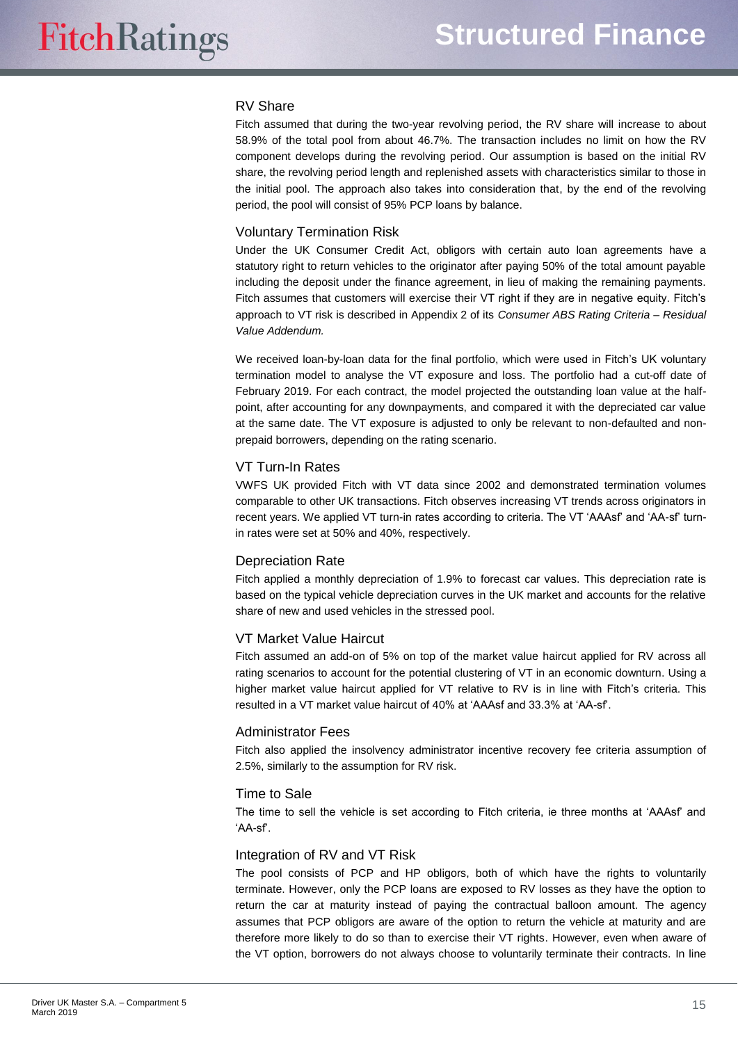#### RV Share

Fitch assumed that during the two-year revolving period, the RV share will increase to about 58.9% of the total pool from about 46.7%. The transaction includes no limit on how the RV component develops during the revolving period. Our assumption is based on the initial RV share, the revolving period length and replenished assets with characteristics similar to those in the initial pool. The approach also takes into consideration that, by the end of the revolving period, the pool will consist of 95% PCP loans by balance.

#### Voluntary Termination Risk

Under the UK Consumer Credit Act, obligors with certain auto loan agreements have a statutory right to return vehicles to the originator after paying 50% of the total amount payable including the deposit under the finance agreement, in lieu of making the remaining payments. Fitch assumes that customers will exercise their VT right if they are in negative equity. Fitch's approach to VT risk is described in Appendix 2 of its *Consumer ABS Rating Criteria – Residual Value Addendum.*

We received loan-by-loan data for the final portfolio, which were used in Fitch's UK voluntary termination model to analyse the VT exposure and loss. The portfolio had a cut-off date of February 2019. For each contract, the model projected the outstanding loan value at the halfpoint, after accounting for any downpayments, and compared it with the depreciated car value at the same date. The VT exposure is adjusted to only be relevant to non-defaulted and nonprepaid borrowers, depending on the rating scenario.

#### VT Turn-In Rates

VWFS UK provided Fitch with VT data since 2002 and demonstrated termination volumes comparable to other UK transactions. Fitch observes increasing VT trends across originators in recent years. We applied VT turn-in rates according to criteria. The VT 'AAAsf' and 'AA-sf' turnin rates were set at 50% and 40%, respectively.

## Depreciation Rate

Fitch applied a monthly depreciation of 1.9% to forecast car values. This depreciation rate is based on the typical vehicle depreciation curves in the UK market and accounts for the relative share of new and used vehicles in the stressed pool.

## VT Market Value Haircut

Fitch assumed an add-on of 5% on top of the market value haircut applied for RV across all rating scenarios to account for the potential clustering of VT in an economic downturn. Using a higher market value haircut applied for VT relative to RV is in line with Fitch's criteria. This resulted in a VT market value haircut of 40% at 'AAAsf and 33.3% at 'AA-sf'.

#### Administrator Fees

Fitch also applied the insolvency administrator incentive recovery fee criteria assumption of 2.5%, similarly to the assumption for RV risk.

#### Time to Sale

The time to sell the vehicle is set according to Fitch criteria, ie three months at 'AAAsf' and 'AA-sf'.

#### Integration of RV and VT Risk

The pool consists of PCP and HP obligors, both of which have the rights to voluntarily terminate. However, only the PCP loans are exposed to RV losses as they have the option to return the car at maturity instead of paying the contractual balloon amount. The agency assumes that PCP obligors are aware of the option to return the vehicle at maturity and are therefore more likely to do so than to exercise their VT rights. However, even when aware of the VT option, borrowers do not always choose to voluntarily terminate their contracts. In line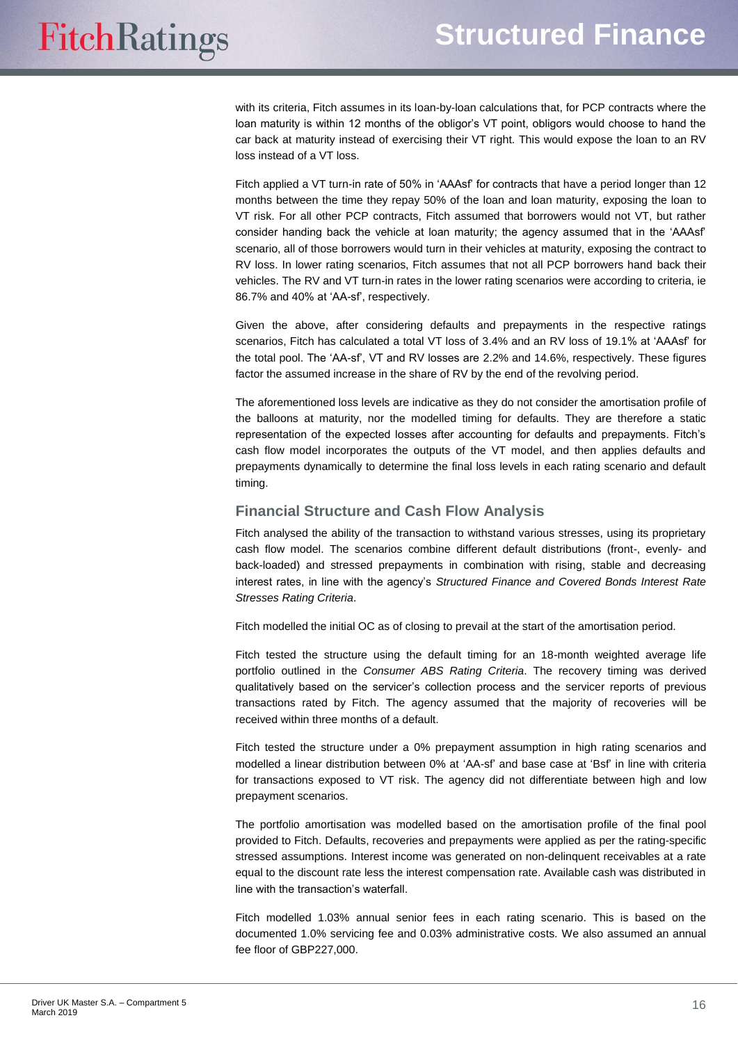with its criteria, Fitch assumes in its loan-by-loan calculations that, for PCP contracts where the loan maturity is within 12 months of the obligor's VT point, obligors would choose to hand the car back at maturity instead of exercising their VT right. This would expose the loan to an RV loss instead of a VT loss.

Fitch applied a VT turn-in rate of 50% in 'AAAsf' for contracts that have a period longer than 12 months between the time they repay 50% of the loan and loan maturity, exposing the loan to VT risk. For all other PCP contracts, Fitch assumed that borrowers would not VT, but rather consider handing back the vehicle at loan maturity; the agency assumed that in the 'AAAsf' scenario, all of those borrowers would turn in their vehicles at maturity, exposing the contract to RV loss. In lower rating scenarios, Fitch assumes that not all PCP borrowers hand back their vehicles. The RV and VT turn-in rates in the lower rating scenarios were according to criteria, ie 86.7% and 40% at 'AA-sf', respectively.

Given the above, after considering defaults and prepayments in the respective ratings scenarios, Fitch has calculated a total VT loss of 3.4% and an RV loss of 19.1% at 'AAAsf' for the total pool. The 'AA-sf', VT and RV losses are 2.2% and 14.6%, respectively. These figures factor the assumed increase in the share of RV by the end of the revolving period.

The aforementioned loss levels are indicative as they do not consider the amortisation profile of the balloons at maturity, nor the modelled timing for defaults. They are therefore a static representation of the expected losses after accounting for defaults and prepayments. Fitch's cash flow model incorporates the outputs of the VT model, and then applies defaults and prepayments dynamically to determine the final loss levels in each rating scenario and default timing.

## <span id="page-15-0"></span>**Financial Structure and Cash Flow Analysis**

Fitch analysed the ability of the transaction to withstand various stresses, using its proprietary cash flow model. The scenarios combine different default distributions (front-, evenly- and back-loaded) and stressed prepayments in combination with rising, stable and decreasing interest rates, in line with the agency's *Structured Finance and Covered Bonds Interest Rate Stresses Rating Criteria*.

Fitch modelled the initial OC as of closing to prevail at the start of the amortisation period.

Fitch tested the structure using the default timing for an 18-month weighted average life portfolio outlined in the *Consumer ABS Rating Criteria*. The recovery timing was derived qualitatively based on the servicer's collection process and the servicer reports of previous transactions rated by Fitch. The agency assumed that the majority of recoveries will be received within three months of a default.

Fitch tested the structure under a 0% prepayment assumption in high rating scenarios and modelled a linear distribution between 0% at 'AA-sf' and base case at 'Bsf' in line with criteria for transactions exposed to VT risk. The agency did not differentiate between high and low prepayment scenarios.

The portfolio amortisation was modelled based on the amortisation profile of the final pool provided to Fitch. Defaults, recoveries and prepayments were applied as per the rating-specific stressed assumptions. Interest income was generated on non-delinquent receivables at a rate equal to the discount rate less the interest compensation rate. Available cash was distributed in line with the transaction's waterfall.

Fitch modelled 1.03% annual senior fees in each rating scenario. This is based on the documented 1.0% servicing fee and 0.03% administrative costs. We also assumed an annual fee floor of GBP227,000.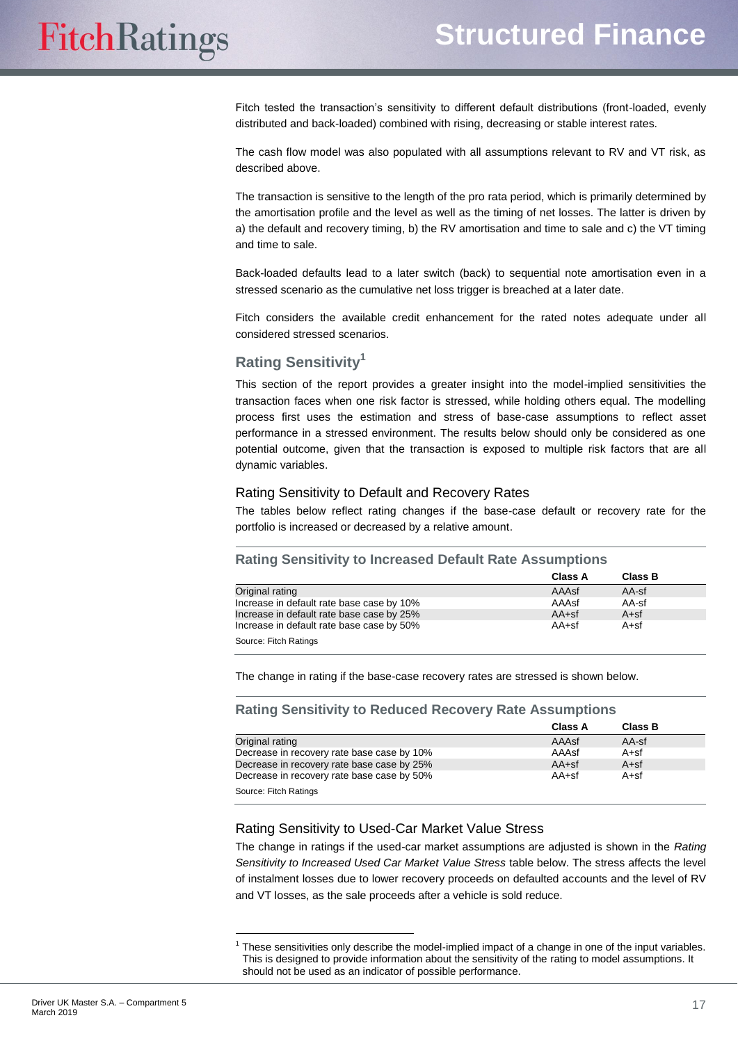Fitch tested the transaction's sensitivity to different default distributions (front-loaded, evenly distributed and back-loaded) combined with rising, decreasing or stable interest rates.

The cash flow model was also populated with all assumptions relevant to RV and VT risk, as described above.

The transaction is sensitive to the length of the pro rata period, which is primarily determined by the amortisation profile and the level as well as the timing of net losses. The latter is driven by a) the default and recovery timing, b) the RV amortisation and time to sale and c) the VT timing and time to sale.

Back-loaded defaults lead to a later switch (back) to sequential note amortisation even in a stressed scenario as the cumulative net loss trigger is breached at a later date.

Fitch considers the available credit enhancement for the rated notes adequate under all considered stressed scenarios.

## <span id="page-16-0"></span>**Rating Sensitivity<sup>1</sup>**

This section of the report provides a greater insight into the model-implied sensitivities the transaction faces when one risk factor is stressed, while holding others equal. The modelling process first uses the estimation and stress of base-case assumptions to reflect asset performance in a stressed environment. The results below should only be considered as one potential outcome, given that the transaction is exposed to multiple risk factors that are all dynamic variables.

## Rating Sensitivity to Default and Recovery Rates

The tables below reflect rating changes if the base-case default or recovery rate for the portfolio is increased or decreased by a relative amount.

#### **Rating Sensitivity to Increased Default Rate Assumptions**

|                                           | <b>Class A</b> | <b>Class B</b> |
|-------------------------------------------|----------------|----------------|
| Original rating                           | AAAsf          | AA-sf          |
| Increase in default rate base case by 10% | AAAsf          | AA-sf          |
| Increase in default rate base case by 25% | $AA+sf$        | $A + sf$       |
| Increase in default rate base case by 50% | $AA+sf$        | $A + sf$       |
| Source: Fitch Ratings                     |                |                |

The change in rating if the base-case recovery rates are stressed is shown below.

#### **Rating Sensitivity to Reduced Recovery Rate Assumptions**

|                                            | Class A | <b>Class B</b> |
|--------------------------------------------|---------|----------------|
| Original rating                            | AAAsf   | AA-sf          |
| Decrease in recovery rate base case by 10% | AAAsf   | A+sf           |
| Decrease in recovery rate base case by 25% | $AA+sf$ | $A + sf$       |
| Decrease in recovery rate base case by 50% | $AA+sf$ | $A + sf$       |
| Source: Fitch Ratings                      |         |                |

## Rating Sensitivity to Used-Car Market Value Stress

The change in ratings if the used-car market assumptions are adjusted is shown in the *Rating Sensitivity to Increased Used Car Market Value Stress* table below. The stress affects the level of instalment losses due to lower recovery proceeds on defaulted accounts and the level of RV and VT losses, as the sale proceeds after a vehicle is sold reduce.

 $\overline{a}$ 

<sup>&</sup>lt;sup>1</sup> These sensitivities only describe the model-implied impact of a change in one of the input variables. This is designed to provide information about the sensitivity of the rating to model assumptions. It should not be used as an indicator of possible performance.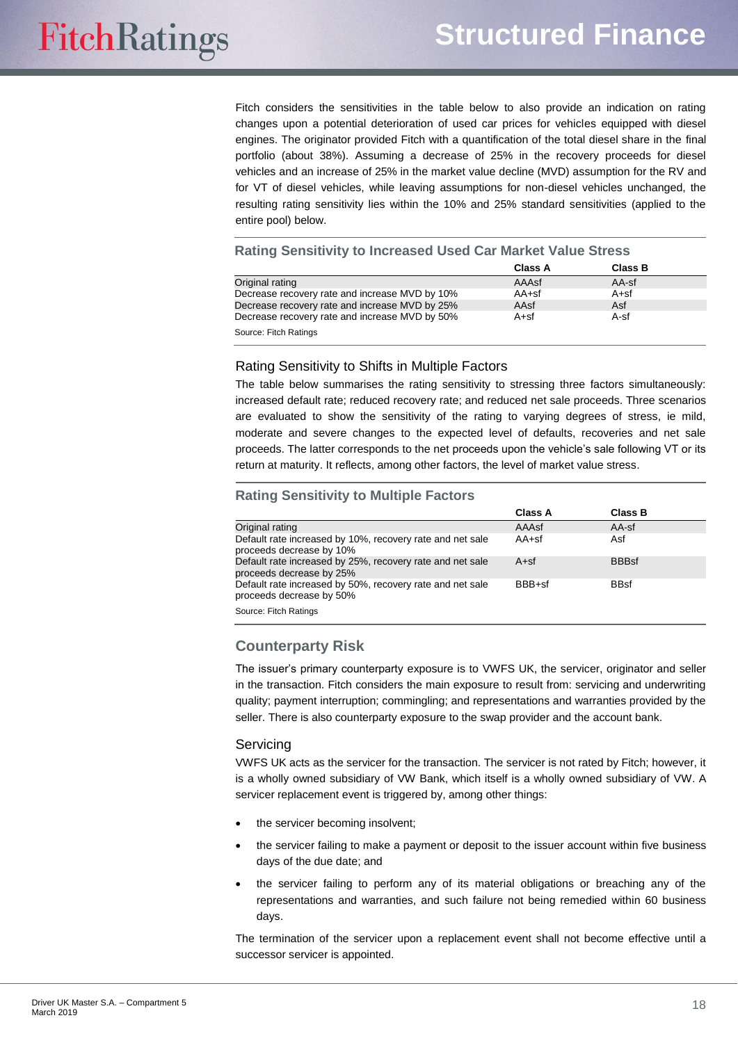Fitch considers the sensitivities in the table below to also provide an indication on rating changes upon a potential deterioration of used car prices for vehicles equipped with diesel engines. The originator provided Fitch with a quantification of the total diesel share in the final portfolio (about 38%). Assuming a decrease of 25% in the recovery proceeds for diesel vehicles and an increase of 25% in the market value decline (MVD) assumption for the RV and for VT of diesel vehicles, while leaving assumptions for non-diesel vehicles unchanged, the resulting rating sensitivity lies within the 10% and 25% standard sensitivities (applied to the entire pool) below.

#### **Rating Sensitivity to Increased Used Car Market Value Stress**

|                                                | Class A  | <b>Class B</b> |
|------------------------------------------------|----------|----------------|
| Original rating                                | AAAsf    | AA-sf          |
| Decrease recovery rate and increase MVD by 10% | AA+sf    | A+sf           |
| Decrease recovery rate and increase MVD by 25% | AAsf     | Asf            |
| Decrease recovery rate and increase MVD by 50% | $A + sf$ | A-sf           |
| Source: Fitch Ratings                          |          |                |

#### Rating Sensitivity to Shifts in Multiple Factors

The table below summarises the rating sensitivity to stressing three factors simultaneously: increased default rate; reduced recovery rate; and reduced net sale proceeds. Three scenarios are evaluated to show the sensitivity of the rating to varying degrees of stress, ie mild, moderate and severe changes to the expected level of defaults, recoveries and net sale proceeds. The latter corresponds to the net proceeds upon the vehicle's sale following VT or its return at maturity. It reflects, among other factors, the level of market value stress.

#### **Rating Sensitivity to Multiple Factors**

|                                                                                       | <b>Class A</b> | <b>Class B</b> |  |
|---------------------------------------------------------------------------------------|----------------|----------------|--|
| Original rating                                                                       | AAAsf          | $AA$ -sf       |  |
| Default rate increased by 10%, recovery rate and net sale<br>proceeds decrease by 10% | $AA+sf$        | Asf            |  |
| Default rate increased by 25%, recovery rate and net sale<br>proceeds decrease by 25% | $A + sf$       | <b>BBBsf</b>   |  |
| Default rate increased by 50%, recovery rate and net sale<br>proceeds decrease by 50% | BBB+sf         | <b>BBsf</b>    |  |
| Source: Fitch Ratings                                                                 |                |                |  |

## <span id="page-17-0"></span>**Counterparty Risk**

The issuer's primary counterparty exposure is to VWFS UK, the servicer, originator and seller in the transaction. Fitch considers the main exposure to result from: servicing and underwriting quality; payment interruption; commingling; and representations and warranties provided by the seller. There is also counterparty exposure to the swap provider and the account bank.

#### Servicing

VWFS UK acts as the servicer for the transaction. The servicer is not rated by Fitch; however, it is a wholly owned subsidiary of VW Bank, which itself is a wholly owned subsidiary of VW. A servicer replacement event is triggered by, among other things:

- the servicer becoming insolvent;
- the servicer failing to make a payment or deposit to the issuer account within five business days of the due date; and
- the servicer failing to perform any of its material obligations or breaching any of the representations and warranties, and such failure not being remedied within 60 business days.

The termination of the servicer upon a replacement event shall not become effective until a successor servicer is appointed.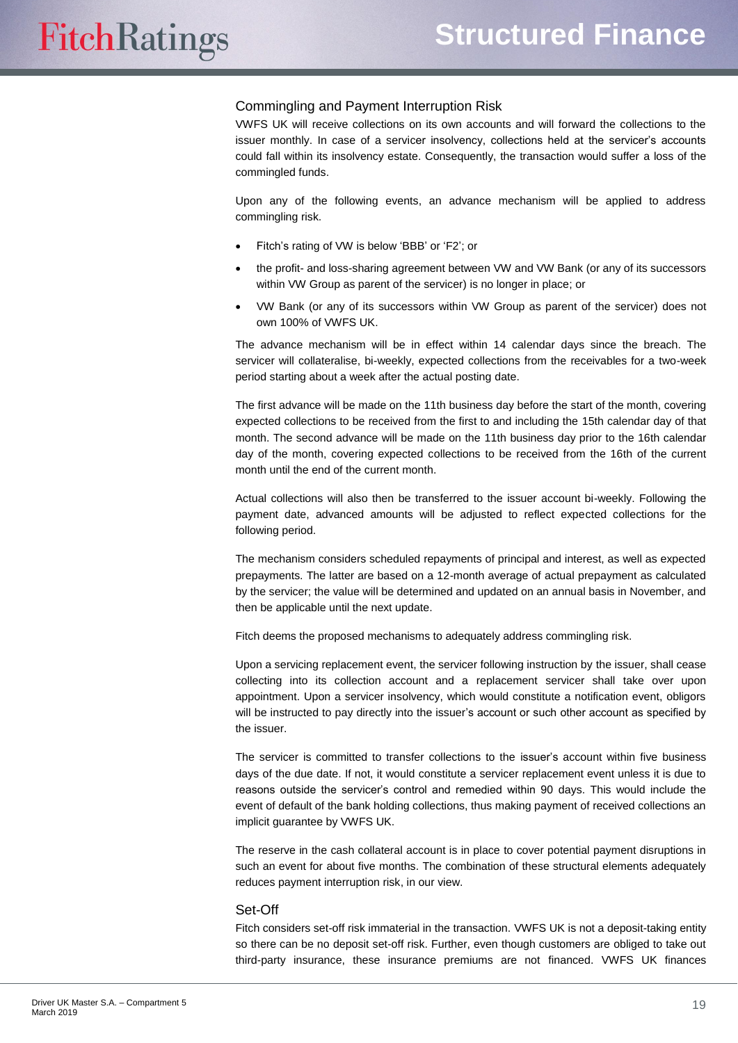#### Commingling and Payment Interruption Risk

VWFS UK will receive collections on its own accounts and will forward the collections to the issuer monthly. In case of a servicer insolvency, collections held at the servicer's accounts could fall within its insolvency estate. Consequently, the transaction would suffer a loss of the commingled funds.

Upon any of the following events, an advance mechanism will be applied to address commingling risk.

- Fitch's rating of VW is below 'BBB' or 'F2'; or
- the profit- and loss-sharing agreement between VW and VW Bank (or any of its successors within VW Group as parent of the servicer) is no longer in place; or
- VW Bank (or any of its successors within VW Group as parent of the servicer) does not own 100% of VWFS UK.

The advance mechanism will be in effect within 14 calendar days since the breach. The servicer will collateralise, bi-weekly, expected collections from the receivables for a two-week period starting about a week after the actual posting date.

The first advance will be made on the 11th business day before the start of the month, covering expected collections to be received from the first to and including the 15th calendar day of that month. The second advance will be made on the 11th business day prior to the 16th calendar day of the month, covering expected collections to be received from the 16th of the current month until the end of the current month.

Actual collections will also then be transferred to the issuer account bi-weekly. Following the payment date, advanced amounts will be adjusted to reflect expected collections for the following period.

The mechanism considers scheduled repayments of principal and interest, as well as expected prepayments. The latter are based on a 12-month average of actual prepayment as calculated by the servicer; the value will be determined and updated on an annual basis in November, and then be applicable until the next update.

Fitch deems the proposed mechanisms to adequately address commingling risk.

Upon a servicing replacement event, the servicer following instruction by the issuer, shall cease collecting into its collection account and a replacement servicer shall take over upon appointment. Upon a servicer insolvency, which would constitute a notification event, obligors will be instructed to pay directly into the issuer's account or such other account as specified by the issuer.

The servicer is committed to transfer collections to the issuer's account within five business days of the due date. If not, it would constitute a servicer replacement event unless it is due to reasons outside the servicer's control and remedied within 90 days. This would include the event of default of the bank holding collections, thus making payment of received collections an implicit guarantee by VWFS UK.

The reserve in the cash collateral account is in place to cover potential payment disruptions in such an event for about five months. The combination of these structural elements adequately reduces payment interruption risk, in our view.

#### Set-Off

Fitch considers set-off risk immaterial in the transaction. VWFS UK is not a deposit-taking entity so there can be no deposit set-off risk. Further, even though customers are obliged to take out third-party insurance, these insurance premiums are not financed. VWFS UK finances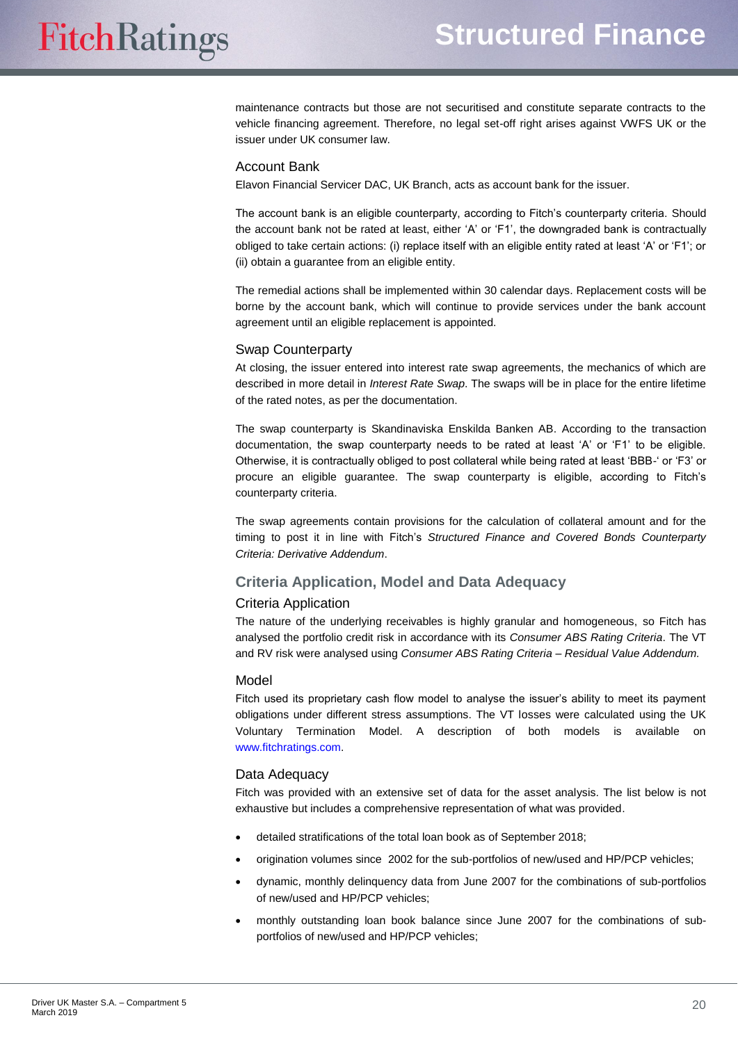maintenance contracts but those are not securitised and constitute separate contracts to the vehicle financing agreement. Therefore, no legal set-off right arises against VWFS UK or the issuer under UK consumer law.

#### Account Bank

Elavon Financial Servicer DAC, UK Branch, acts as account bank for the issuer.

The account bank is an eligible counterparty, according to Fitch's counterparty criteria. Should the account bank not be rated at least, either 'A' or 'F1', the downgraded bank is contractually obliged to take certain actions: (i) replace itself with an eligible entity rated at least 'A' or 'F1'; or (ii) obtain a guarantee from an eligible entity.

The remedial actions shall be implemented within 30 calendar days. Replacement costs will be borne by the account bank, which will continue to provide services under the bank account agreement until an eligible replacement is appointed.

#### Swap Counterparty

At closing, the issuer entered into interest rate swap agreements, the mechanics of which are described in more detail in *Interest Rate Swap*. The swaps will be in place for the entire lifetime of the rated notes, as per the documentation.

The swap counterparty is Skandinaviska Enskilda Banken AB. According to the transaction documentation, the swap counterparty needs to be rated at least 'A' or 'F1' to be eligible. Otherwise, it is contractually obliged to post collateral while being rated at least 'BBB-' or 'F3' or procure an eligible guarantee. The swap counterparty is eligible, according to Fitch's counterparty criteria.

The swap agreements contain provisions for the calculation of collateral amount and for the timing to post it in line with Fitch's *Structured Finance and Covered Bonds Counterparty Criteria: Derivative Addendum*.

## <span id="page-19-0"></span>**Criteria Application, Model and Data Adequacy**

#### Criteria Application

The nature of the underlying receivables is highly granular and homogeneous, so Fitch has analysed the portfolio credit risk in accordance with its *Consumer ABS Rating Criteria*. The VT and RV risk were analysed using *Consumer ABS Rating Criteria – Residual Value Addendum.*

#### Model

Fitch used its proprietary cash flow model to analyse the issuer's ability to meet its payment obligations under different stress assumptions. The VT losses were calculated using the UK Voluntary Termination Model. A description of both models is available on [www.fitchratings.com.](http://www.fitchratings.com/)

#### Data Adequacy

Fitch was provided with an extensive set of data for the asset analysis. The list below is not exhaustive but includes a comprehensive representation of what was provided.

- detailed stratifications of the total loan book as of September 2018;
- origination volumes since 2002 for the sub-portfolios of new/used and HP/PCP vehicles;
- dynamic, monthly delinquency data from June 2007 for the combinations of sub-portfolios of new/used and HP/PCP vehicles;
- monthly outstanding loan book balance since June 2007 for the combinations of subportfolios of new/used and HP/PCP vehicles;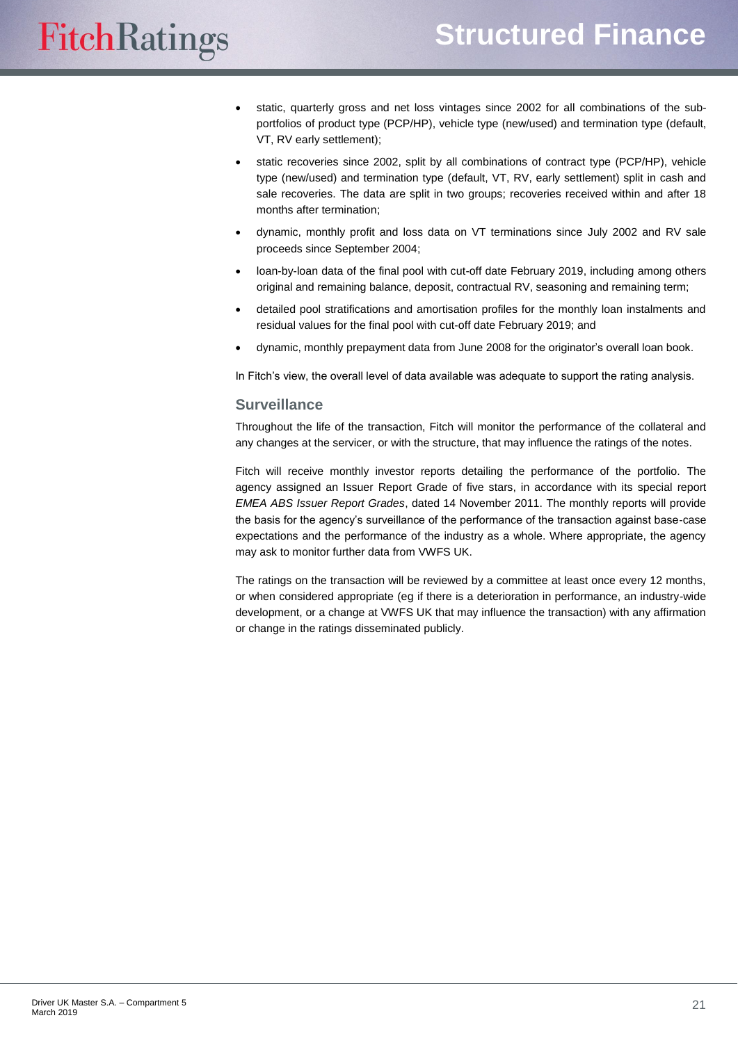# **Structured Finance**

# **FitchRatings**

- static, quarterly gross and net loss vintages since 2002 for all combinations of the subportfolios of product type (PCP/HP), vehicle type (new/used) and termination type (default, VT, RV early settlement);
- static recoveries since 2002, split by all combinations of contract type (PCP/HP), vehicle type (new/used) and termination type (default, VT, RV, early settlement) split in cash and sale recoveries. The data are split in two groups; recoveries received within and after 18 months after termination;
- dynamic, monthly profit and loss data on VT terminations since July 2002 and RV sale proceeds since September 2004;
- loan-by-loan data of the final pool with cut-off date February 2019, including among others original and remaining balance, deposit, contractual RV, seasoning and remaining term;
- detailed pool stratifications and amortisation profiles for the monthly loan instalments and residual values for the final pool with cut-off date February 2019; and
- dynamic, monthly prepayment data from June 2008 for the originator's overall loan book.

In Fitch's view, the overall level of data available was adequate to support the rating analysis.

## <span id="page-20-0"></span>**Surveillance**

Throughout the life of the transaction, Fitch will monitor the performance of the collateral and any changes at the servicer, or with the structure, that may influence the ratings of the notes.

Fitch will receive monthly investor reports detailing the performance of the portfolio. The agency assigned an Issuer Report Grade of five stars, in accordance with its special report *EMEA ABS Issuer Report Grades*, dated 14 November 2011. The monthly reports will provide the basis for the agency's surveillance of the performance of the transaction against base-case expectations and the performance of the industry as a whole. Where appropriate, the agency may ask to monitor further data from VWFS UK.

The ratings on the transaction will be reviewed by a committee at least once every 12 months, or when considered appropriate (eg if there is a deterioration in performance, an industry-wide development, or a change at VWFS UK that may influence the transaction) with any affirmation or change in the ratings disseminated publicly.